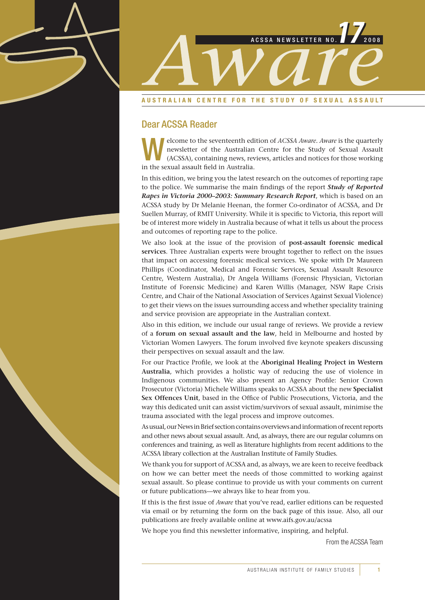

#### **AUSTRALIAN CENTRE FOR THE STUDY OF SEXUAL ASSAULT**

### Dear ACSSA Reader

elcome to the seventeenth edition of *ACSSA Aware*. *Aware* is the quarterly newsletter of the Australian Centre for the Study of Sexual Assault (ACSSA), containing news, reviews, articles and notices for those working newsletter of the Australian Centre for the Study of Sexual Assault (ACSSA), containing news, reviews, articles and notices for those working in the sexual assault field in Australia.

In this edition, we bring you the latest research on the outcomes of reporting rape to the police. We summarise the main findings of the report *Study of Reported Rapes in Victoria 2000–2003: Summary Research Report*, which is based on an ACSSA study by Dr Melanie Heenan, the former Co-ordinator of ACSSA, and Dr Suellen Murray, of RMIT University. While it is specific to Victoria, this report will be of interest more widely in Australia because of what it tells us about the process and outcomes of reporting rape to the police.

We also look at the issue of the provision of **post-assault forensic medical services**. Three Australian experts were brought together to reflect on the issues that impact on accessing forensic medical services. We spoke with Dr Maureen Phillips (Coordinator, Medical and Forensic Services, Sexual Assault Resource Centre, Western Australia), Dr Angela Williams (Forensic Physician, Victorian Institute of Forensic Medicine) and Karen Willis (Manager, NSW Rape Crisis Centre, and Chair of the National Association of Services Against Sexual Violence) to get their views on the issues surrounding access and whether speciality training and service provision are appropriate in the Australian context.

Also in this edition, we include our usual range of reviews. We provide a review of a **forum on sexual assault and the law**, held in Melbourne and hosted by Victorian Women Lawyers. The forum involved five keynote speakers discussing their perspectives on sexual assault and the law.

For our Practice Profile, we look at the **Aboriginal Healing Project in Western Australia**, which provides a holistic way of reducing the use of violence in Indigenous communities. We also present an Agency Profile: Senior Crown Prosecutor (Victoria) Michele Williams speaks to ACSSA about the new **Specialist Sex Offences Unit**, based in the Office of Public Prosecutions, Victoria, and the way this dedicated unit can assist victim/survivors of sexual assault, minimise the trauma associated with the legal process and improve outcomes.

As usual, our News in Brief section contains overviews and information of recent reports and other news about sexual assault. And, as always, there are our regular columns on conferences and training, as well as literature highlights from recent additions to the ACSSA library collection at the Australian Institute of Family Studies.

We thank you for support of ACSSA and, as always, we are keen to receive feedback on how we can better meet the needs of those committed to working against sexual assault. So please continue to provide us with your comments on current or future publications—we always like to hear from you.

If this is the first issue of *Aware* that you've read, earlier editions can be requested via email or by returning the form on the back page of this issue. Also, all our publications are freely available online at www.aifs.gov.au/acssa

We hope you find this newsletter informative, inspiring, and helpful.

From the ACSSA Team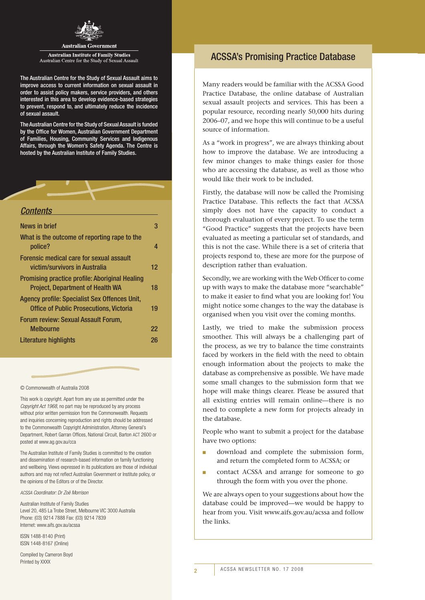

#### **Australian Government**

**Australian Institute of Family Studies** Australian Centre for the Study of Sexual Assault

The Australian Centre for the Study of Sexual Assault aims to improve access to current information on sexual assault in order to assist policy makers, service providers, and others interested in this area to develop evidence-based strategies to prevent, respond to, and ultimately reduce the incidence of sexual assault.

The Australian Centre for the Study of Sexual Assault is funded by the Office for Women, Australian Government Department of Families, Housing, Community Services and Indigenous Affairs, through the Women's Safety Agenda. The Centre is hosted by the Australian Institute of Family Studies.



| 3                 |
|-------------------|
| 4                 |
|                   |
| $12 \overline{ }$ |
|                   |
| 18                |
|                   |
| 19                |
|                   |
| 22                |
| 26                |
|                   |

#### © Commonwealth of Australia 2008

This work is copyright. Apart from any use as permitted under the *Copyright Act 1968*, no part may be reproduced by any process without prior written permission from the Commonwealth. Requests and inquiries concerning reproduction and rights should be addressed to the Commonwealth Copyright Administration, Attorney General's Department, Robert Garran Offices, National Circuit, Barton act 2600 or posted at www.ag.gov.au/cca

The Australian Institute of Family Studies is committed to the creation and dissemination of research-based information on family functioning and wellbeing. Views expressed in its publications are those of individual authors and may not reflect Australian Government or Institute policy, or the opinions of the Editors or of the Director.

*acssa Coordinator: Dr Zoë Morrison*

Australian Institute of Family Studies Level 20, 485 La Trobe Street, Melbourne VIC 3000 Australia Phone: (03) 9214 7888 Fax: (03) 9214 7839 Internet: www.aifs.gov.au/acssa

ISSN 1488-8140 (Print) ISSN 1448-8167 (Online)

Compiled by Cameron Boyd Printed by XXXX

## ACSSA's Promising Practice Database

Many readers would be familiar with the ACSSA Good Practice Database, the online database of Australian sexual assault projects and services. This has been a popular resource, recording nearly 50,000 hits during 2006–07, and we hope this will continue to be a useful source of information.

As a "work in progress", we are always thinking about how to improve the database. We are introducing a few minor changes to make things easier for those who are accessing the database, as well as those who would like their work to be included.

Firstly, the database will now be called the Promising Practice Database. This reflects the fact that ACSSA simply does not have the capacity to conduct a thorough evaluation of every project. To use the term "Good Practice" suggests that the projects have been evaluated as meeting a particular set of standards, and this is not the case. While there is a set of criteria that projects respond to, these are more for the purpose of description rather than evaluation.

Secondly, we are working with the Web Officer to come up with ways to make the database more "searchable" to make it easier to find what you are looking for! You might notice some changes to the way the database is organised when you visit over the coming months.

Lastly, we tried to make the submission process smoother. This will always be a challenging part of the process, as we try to balance the time constraints faced by workers in the field with the need to obtain enough information about the projects to make the database as comprehensive as possible. We have made some small changes to the submission form that we hope will make things clearer. Please be assured that all existing entries will remain online—there is no need to complete a new form for projects already in the database.

People who want to submit a project for the database have two options:

- download and complete the submission form, and return the completed form to ACSSA; or
- contact ACSSA and arrange for someone to go through the form with you over the phone.

We are always open to your suggestions about how the database could be improved—we would be happy to hear from you. Visit www.aifs.gov.au/acssa and follow the links.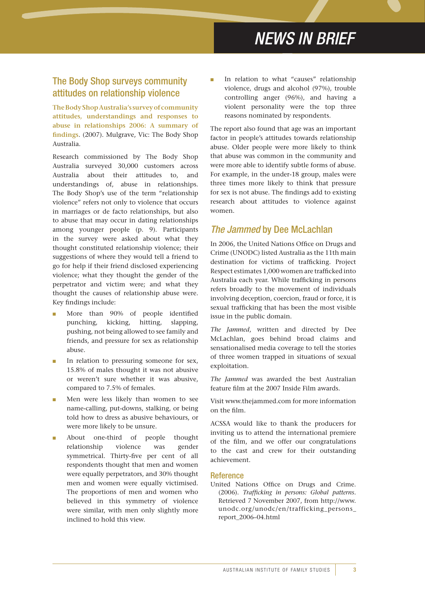## The Body Shop surveys community attitudes on relationship violence

**The Body Shop Australia's survey of community attitudes, understandings and responses to abuse in relationships 2006: A summary of findings**. (2007). Mulgrave, Vic: The Body Shop Australia.

Research commissioned by The Body Shop Australia surveyed 30,000 customers across Australia about their attitudes to, and understandings of, abuse in relationships. The Body Shop's use of the term "relationship violence" refers not only to violence that occurs in marriages or de facto relationships, but also to abuse that may occur in dating relationships among younger people (p. 9). Participants in the survey were asked about what they thought constituted relationship violence; their suggestions of where they would tell a friend to go for help if their friend disclosed experiencing violence; what they thought the gender of the perpetrator and victim were; and what they thought the causes of relationship abuse were. Key findings include:

- More than 90% of people identified punching, kicking, hitting, slapping, pushing, not being allowed to see family and friends, and pressure for sex as relationship abuse.
- In relation to pressuring someone for sex, 15.8% of males thought it was not abusive or weren't sure whether it was abusive, compared to 7.5% of females.
- Men were less likely than women to see name-calling, put-downs, stalking, or being told how to dress as abusive behaviours, or were more likely to be unsure.
- About one-third of people thought relationship violence was gender symmetrical. Thirty-five per cent of all respondents thought that men and women were equally perpetrators, and 30% thought men and women were equally victimised. The proportions of men and women who believed in this symmetry of violence were similar, with men only slightly more inclined to hold this view.

In relation to what "causes" relationship violence, drugs and alcohol (97%), trouble controlling anger (96%), and having a violent personality were the top three reasons nominated by respondents.

The report also found that age was an important factor in people's attitudes towards relationship abuse. Older people were more likely to think that abuse was common in the community and were more able to identify subtle forms of abuse. For example, in the under-18 group, males were three times more likely to think that pressure for sex is not abuse. The findings add to existing research about attitudes to violence against women.

## *The Jammed* by Dee McLachlan

In 2006, the United Nations Office on Drugs and Crime (UNODC) listed Australia as the 11th main destination for victims of trafficking. Project Respect estimates 1,000 women are trafficked into Australia each year. While trafficking in persons refers broadly to the movement of individuals involving deception, coercion, fraud or force, it is sexual trafficking that has been the most visible issue in the public domain.

*The Jammed*, written and directed by Dee McLachlan, goes behind broad claims and sensationalised media coverage to tell the stories of three women trapped in situations of sexual exploitation.

*The Jammed* was awarded the best Australian feature film at the 2007 Inside Film awards.

Visit www.thejammed.com for more information on the film.

ACSSA would like to thank the producers for inviting us to attend the international premiere of the film, and we offer our congratulations to the cast and crew for their outstanding achievement.

#### Reference

United Nations Office on Drugs and Crime. (2006). *Trafficking in persons: Global patterns*. Retrieved 7 November 2007, from http://www. unodc.org/unodc/en/trafficking\_persons\_ report\_2006–04.html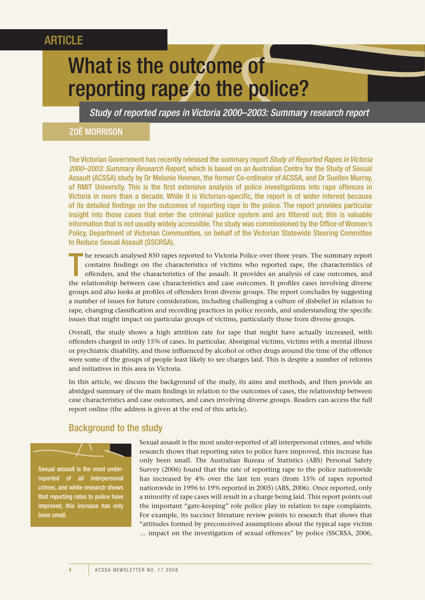## **ARTICLE**

# What is the outcome of reporting rape to the police?

*Study of reported rapes in Victoria 2000–2003: Summary research report*

#### Zoë MORRISON

The Victorian Government has recently released the summary report *Study of Reported Rapes in Victoria 2000–2003: Summary Research Report*, which is based on an Australian Centre for the Study of Sexual Assault (ACSSA) study by Dr Melanie Heenan, the former Co-ordinator of ACSSA, and Dr Suellen Murray, of RMIT University. This is the first extensive analysis of police investigations into rape offences in Victoria in more than a decade. While it is Victorian-specific, the report is of wider interest because of its detailed findings on the outcomes of reporting rape to the police. The report provides particular insight into those cases that enter the criminal justice system and are filtered out; this is valuable information that is not usually widely accessible. The study was commissioned by the Office of Women's Policy, Department of Victorian Communities, on behalf of the Victorian Statewide Steering Committee to Reduce Sexual Assault (SSCRSA).

T he research analysed 850 rapes reported to Victoria Police over three years. The summary report contains findings on the characteristics of victims who reported rape, the characteristics of offenders, and the characteristics of the assault. It provides an analysis of case outcomes, and the relationship between case characteristics and case outcomes. It profiles cases involving diverse groups and also looks at profiles of offenders from diverse groups. The report concludes by suggesting a number of issues for future consideration, including challenging a culture of disbelief in relation to rape, changing classification and recording practices in police records, and understanding the specific issues that might impact on particular groups of victims, particularly those from diverse groups.

Overall, the study shows a high attrition rate for rape that might have actually increased, with offenders charged in only 15% of cases. In particular, Aboriginal victims, victims with a mental illness or psychiatric disability, and those influenced by alcohol or other drugs around the time of the offence were some of the groups of people least likely to see charges laid. This is despite a number of reforms and initiatives in this area in Victoria.

In this article, we discuss the background of the study, its aims and methods, and then provide an abridged summary of the main findings in relation to the outcomes of cases, the relationship between case characteristics and case outcomes, and cases involving diverse groups. Readers can access the full report online (the address is given at the end of this article).

## Background to the study

Sexual assault is the most underreported of all interpersonal crimes, and while research shows that reporting rates to police have improved, this increase has only been small.

Sexual assault is the most under-reported of all interpersonal crimes, and while research shows that reporting rates to police have improved, this increase has only been small. The Australian Bureau of Statistics (ABS) Personal Safety Survey (2006) found that the rate of reporting rape to the police nationwide has increased by 4% over the last ten years (from 15% of rapes reported nationwide in 1996 to 19% reported in 2005) (ABS, 2006). Once reported, only a minority of rape cases will result in a charge being laid. This report points out the important "gate-keeping" role police play in relation to rape complaints. For example, its succinct literature review points to research that shows that "attitudes formed by preconceived assumptions about the typical rape victim … impact on the investigation of sexual offences" by police (SSCRSA, 2006,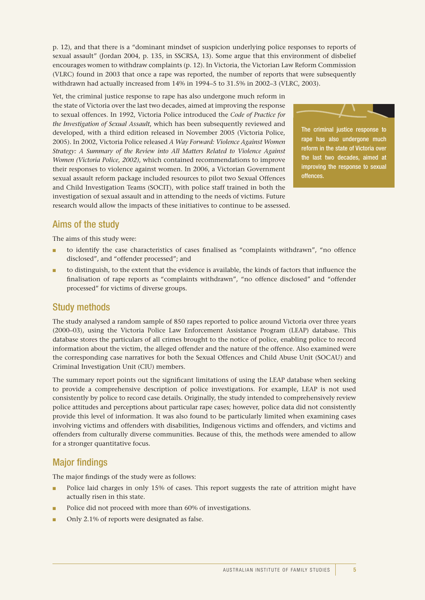p. 12), and that there is a "dominant mindset of suspicion underlying police responses to reports of sexual assault" (Jordan 2004, p. 135, in SSCRSA, 13). Some argue that this environment of disbelief encourages women to withdraw complaints (p. 12). In Victoria, the Victorian Law Reform Commission (VLRC) found in 2003 that once a rape was reported, the number of reports that were subsequently withdrawn had actually increased from 14% in 1994–5 to 31.5% in 2002–3 (VLRC, 2003).

Yet, the criminal justice response to rape has also undergone much reform in the state of Victoria over the last two decades, aimed at improving the response to sexual offences. In 1992, Victoria Police introduced the *Code of Practice for the Investigation of Sexual Assault*, which has been subsequently reviewed and developed, with a third edition released in November 2005 (Victoria Police, 2005). In 2002, Victoria Police released *A Way Forward: Violence Against Women Strategy: A Summary of the Review into All Matters Related to Violence Against Women (Victoria Police, 2002)*, which contained recommendations to improve their responses to violence against women. In 2006, a Victorian Government sexual assault reform package included resources to pilot two Sexual Offences and Child Investigation Teams (SOCIT), with police staff trained in both the investigation of sexual assault and in attending to the needs of victims. Future research would allow the impacts of these initiatives to continue to be assessed.



The criminal justice response to rape has also undergone much reform in the state of Victoria over the last two decades, aimed at improving the response to sexual offences.

## Aims of the study

The aims of this study were:

- to identify the case characteristics of cases finalised as "complaints withdrawn", "no offence disclosed", and "offender processed"; and
- to distinguish, to the extent that the evidence is available, the kinds of factors that influence the finalisation of rape reports as "complaints withdrawn", "no offence disclosed" and "offender processed" for victims of diverse groups.

## Study methods

The study analysed a random sample of 850 rapes reported to police around Victoria over three years (2000–03), using the Victoria Police Law Enforcement Assistance Program (LEAP) database. This database stores the particulars of all crimes brought to the notice of police, enabling police to record information about the victim, the alleged offender and the nature of the offence. Also examined were the corresponding case narratives for both the Sexual Offences and Child Abuse Unit (SOCAU) and Criminal Investigation Unit (CIU) members.

The summary report points out the significant limitations of using the LEAP database when seeking to provide a comprehensive description of police investigations. For example, LEAP is not used consistently by police to record case details. Originally, the study intended to comprehensively review police attitudes and perceptions about particular rape cases; however, police data did not consistently provide this level of information. It was also found to be particularly limited when examining cases involving victims and offenders with disabilities, Indigenous victims and offenders, and victims and offenders from culturally diverse communities. Because of this, the methods were amended to allow for a stronger quantitative focus.

## Major findings

The major findings of the study were as follows:

- Police laid charges in only 15% of cases. This report suggests the rate of attrition might have actually risen in this state.
- Police did not proceed with more than 60% of investigations.
- Only 2.1% of reports were designated as false.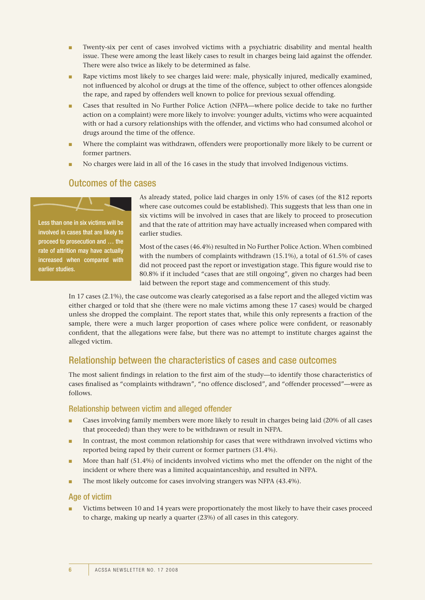- Twenty-six per cent of cases involved victims with a psychiatric disability and mental health issue. These were among the least likely cases to result in charges being laid against the offender. There were also twice as likely to be determined as false.
- Rape victims most likely to see charges laid were: male, physically injured, medically examined, not influenced by alcohol or drugs at the time of the offence, subject to other offences alongside the rape, and raped by offenders well known to police for previous sexual offending.
- Cases that resulted in No Further Police Action (NFPA—where police decide to take no further action on a complaint) were more likely to involve: younger adults, victims who were acquainted with or had a cursory relationships with the offender, and victims who had consumed alcohol or drugs around the time of the offence.
- Where the complaint was withdrawn, offenders were proportionally more likely to be current or former partners.
- No charges were laid in all of the 16 cases in the study that involved Indigenous victims.

### Outcomes of the cases

Less than one in six victims will be involved in cases that are likely to proceed to prosecution and … the rate of attrition may have actually increased when compared with earlier studies.

As already stated, police laid charges in only 15% of cases (of the 812 reports where case outcomes could be established). This suggests that less than one in six victims will be involved in cases that are likely to proceed to prosecution and that the rate of attrition may have actually increased when compared with earlier studies.

Most of the cases (46.4%) resulted in No Further Police Action. When combined with the numbers of complaints withdrawn (15.1%), a total of 61.5% of cases did not proceed past the report or investigation stage. This figure would rise to 80.8% if it included "cases that are still ongoing", given no charges had been laid between the report stage and commencement of this study.

In 17 cases (2.1%), the case outcome was clearly categorised as a false report and the alleged victim was either charged or told that she (there were no male victims among these 17 cases) would be charged unless she dropped the complaint. The report states that, while this only represents a fraction of the sample, there were a much larger proportion of cases where police were confident, or reasonably confident, that the allegations were false, but there was no attempt to institute charges against the alleged victim.

## Relationship between the characteristics of cases and case outcomes

The most salient findings in relation to the first aim of the study—to identify those characteristics of cases finalised as "complaints withdrawn", "no offence disclosed", and "offender processed"—were as follows.

#### Relationship between victim and alleged offender

- Cases involving family members were more likely to result in charges being laid (20% of all cases that proceeded) than they were to be withdrawn or result in NFPA.
- In contrast, the most common relationship for cases that were withdrawn involved victims who reported being raped by their current or former partners (31.4%).
- More than half (51.4%) of incidents involved victims who met the offender on the night of the incident or where there was a limited acquaintanceship, and resulted in NFPA.
- The most likely outcome for cases involving strangers was NFPA (43.4%).

#### Age of victim

Victims between 10 and 14 years were proportionately the most likely to have their cases proceed to charge, making up nearly a quarter (23%) of all cases in this category.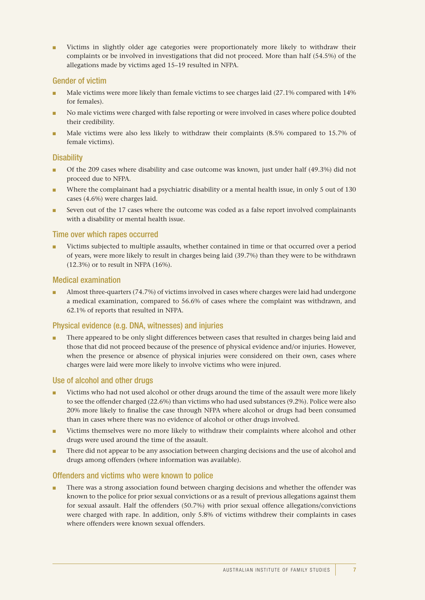■ Victims in slightly older age categories were proportionately more likely to withdraw their complaints or be involved in investigations that did not proceed. More than half (54.5%) of the allegations made by victims aged 15–19 resulted in NFPA.

#### Gender of victim

- Male victims were more likely than female victims to see charges laid (27.1% compared with 14% for females).
- No male victims were charged with false reporting or were involved in cases where police doubted their credibility.
- Male victims were also less likely to withdraw their complaints (8.5% compared to 15.7% of female victims).

#### **Disability**

- Of the 209 cases where disability and case outcome was known, just under half (49.3%) did not proceed due to NFPA.
- Where the complainant had a psychiatric disability or a mental health issue, in only 5 out of 130 cases (4.6%) were charges laid.
- Seven out of the 17 cases where the outcome was coded as a false report involved complainants with a disability or mental health issue.

#### Time over which rapes occurred

■ Victims subjected to multiple assaults, whether contained in time or that occurred over a period of years, were more likely to result in charges being laid (39.7%) than they were to be withdrawn (12.3%) or to result in NFPA (16%).

#### Medical examination

■ Almost three-quarters (74.7%) of victims involved in cases where charges were laid had undergone a medical examination, compared to 56.6% of cases where the complaint was withdrawn, and 62.1% of reports that resulted in NFPA.

#### Physical evidence (e.g. DNA, witnesses) and injuries

■ There appeared to be only slight differences between cases that resulted in charges being laid and those that did not proceed because of the presence of physical evidence and/or injuries. However, when the presence or absence of physical injuries were considered on their own, cases where charges were laid were more likely to involve victims who were injured.

#### Use of alcohol and other drugs

- Victims who had not used alcohol or other drugs around the time of the assault were more likely to see the offender charged (22.6%) than victims who had used substances (9.2%). Police were also 20% more likely to finalise the case through NFPA where alcohol or drugs had been consumed than in cases where there was no evidence of alcohol or other drugs involved.
- Victims themselves were no more likely to withdraw their complaints where alcohol and other drugs were used around the time of the assault.
- There did not appear to be any association between charging decisions and the use of alcohol and drugs among offenders (where information was available).

#### Offenders and victims who were known to police

There was a strong association found between charging decisions and whether the offender was known to the police for prior sexual convictions or as a result of previous allegations against them for sexual assault. Half the offenders (50.7%) with prior sexual offence allegations/convictions were charged with rape. In addition, only 5.8% of victims withdrew their complaints in cases where offenders were known sexual offenders.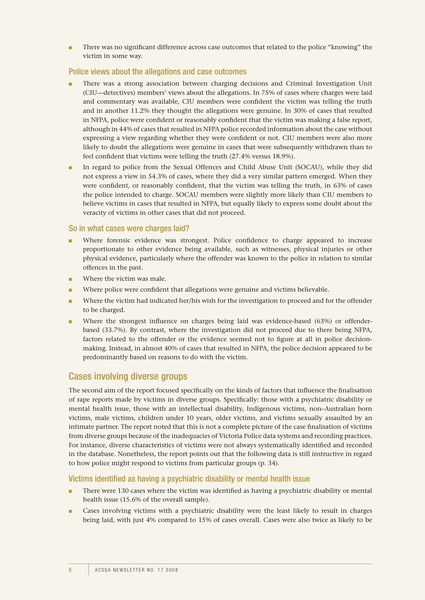There was no significant difference across case outcomes that related to the police "knowing" the victim in some way.

#### Police views about the allegations and case outcomes

- There was a strong association between charging decisions and Criminal Investigation Unit (CIU—detectives) members' views about the allegations. In 75% of cases where charges were laid and commentary was available, CIU members were confident the victim was telling the truth and in another 11.2% they thought the allegations were genuine. In 30% of cases that resulted in NFPA, police were confident or reasonably confident that the victim was making a false report, although in 44% of cases that resulted in NFPA police recorded information about the case without expressing a view regarding whether they were confident or not. CIU members were also more likely to doubt the allegations were genuine in cases that were subsequently withdrawn than to feel confident that victims were telling the truth (27.4% versus 18.9%).
- In regard to police from the Sexual Offences and Child Abuse Unit (SOCAU), while they did not express a view in 54.3% of cases, where they did a very similar pattern emerged. When they were confident, or reasonably confident, that the victim was telling the truth, in 63% of cases the police intended to charge. SOCAU members were slightly more likely than CIU members to believe victims in cases that resulted in NFPA, but equally likely to express some doubt about the veracity of victims in other cases that did not proceed.

#### So in what cases were charges laid?

- Where forensic evidence was strongest. Police confidence to charge appeared to increase proportionate to other evidence being available, such as witnesses, physical injuries or other physical evidence, particularly where the offender was known to the police in relation to similar offences in the past.
- Where the victim was male.
- Where police were confident that allegations were genuine and victims believable.
- Where the victim had indicated her/his wish for the investigation to proceed and for the offender to be charged.
- Where the strongest influence on charges being laid was evidence-based (63%) or offenderbased (33.7%). By contrast, where the investigation did not proceed due to there being NFPA, factors related to the offender or the evidence seemed not to figure at all in police decisionmaking. Instead, in almost 40% of cases that resulted in NFPA, the police decision appeared to be predominantly based on reasons to do with the victim.

### Cases involving diverse groups

The second aim of the report focused specifically on the kinds of factors that influence the finalisation of rape reports made by victims in diverse groups. Specifically: those with a psychiatric disability or mental health issue, those with an intellectual disability, Indigenous victims, non–Australian born victims, male victims, children under 10 years, older victims, and victims sexually assaulted by an intimate partner. The report noted that this is not a complete picture of the case finalisation of victims from diverse groups because of the inadequacies of Victoria Police data systems and recording practices. For instance, diverse characteristics of victims were not always systematically identified and recorded in the database. Nonetheless, the report points out that the following data is still instructive in regard to how police might respond to victims from particular groups (p. 34).

#### Victims identified as having a psychiatric disability or mental health issue

- There were 130 cases where the victim was identified as having a psychiatric disability or mental health issue (15.6% of the overall sample).
- Cases involving victims with a psychiatric disability were the least likely to result in charges being laid, with just 4% compared to 15% of cases overall. Cases were also twice as likely to be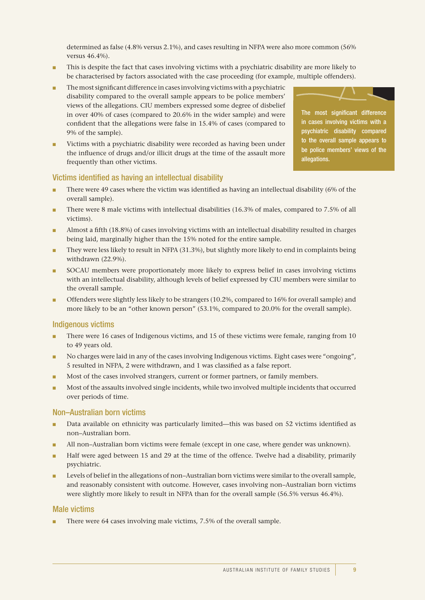determined as false (4.8% versus 2.1%), and cases resulting in NFPA were also more common (56% versus 46.4%).

- This is despite the fact that cases involving victims with a psychiatric disability are more likely to be characterised by factors associated with the case proceeding (for example, multiple offenders).
- The most significant difference in cases involving victims with a psychiatric disability compared to the overall sample appears to be police members' views of the allegations. CIU members expressed some degree of disbelief in over 40% of cases (compared to 20.6% in the wider sample) and were confident that the allegations were false in 15.4% of cases (compared to 9% of the sample).
- Victims with a psychiatric disability were recorded as having been under the influence of drugs and/or illicit drugs at the time of the assault more frequently than other victims.

The most significant difference in cases involving victims with a psychiatric disability compared to the overall sample appears to be police members' views of the allegations.

#### Victims identified as having an intellectual disability

- There were 49 cases where the victim was identified as having an intellectual disability (6% of the overall sample).
- There were 8 male victims with intellectual disabilities (16.3% of males, compared to 7.5% of all victims).
- Almost a fifth (18.8%) of cases involving victims with an intellectual disability resulted in charges being laid, marginally higher than the 15% noted for the entire sample.
- They were less likely to result in NFPA (31.3%), but slightly more likely to end in complaints being withdrawn (22.9%).
- SOCAU members were proportionately more likely to express belief in cases involving victims with an intellectual disability, although levels of belief expressed by CIU members were similar to the overall sample.
- Offenders were slightly less likely to be strangers (10.2%, compared to 16% for overall sample) and more likely to be an "other known person" (53.1%, compared to 20.0% for the overall sample).

#### Indigenous victims

- There were 16 cases of Indigenous victims, and 15 of these victims were female, ranging from 10 to 49 years old.
- No charges were laid in any of the cases involving Indigenous victims. Eight cases were "ongoing", 5 resulted in NFPA, 2 were withdrawn, and 1 was classified as a false report.
- Most of the cases involved strangers, current or former partners, or family members.
- Most of the assaults involved single incidents, while two involved multiple incidents that occurred over periods of time.

#### Non–Australian born victims

- Data available on ethnicity was particularly limited—this was based on 52 victims identified as non–Australian born.
- All non–Australian born victims were female (except in one case, where gender was unknown).
- Half were aged between 15 and 29 at the time of the offence. Twelve had a disability, primarily psychiatric.
- Levels of belief in the allegations of non–Australian born victims were similar to the overall sample, and reasonably consistent with outcome. However, cases involving non–Australian born victims were slightly more likely to result in NFPA than for the overall sample (56.5% versus 46.4%).

#### Male victims

There were 64 cases involving male victims, 7.5% of the overall sample.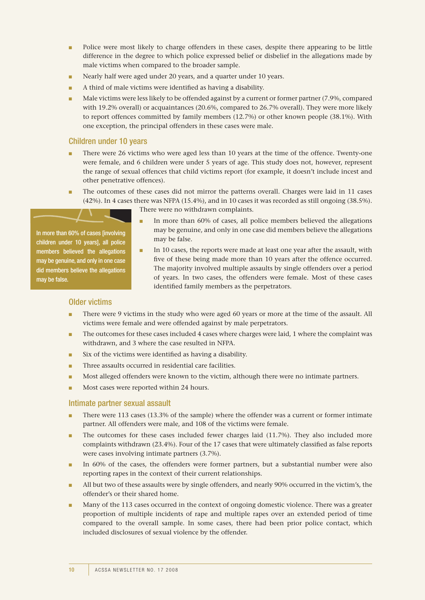- Police were most likely to charge offenders in these cases, despite there appearing to be little difference in the degree to which police expressed belief or disbelief in the allegations made by male victims when compared to the broader sample.
- Nearly half were aged under 20 years, and a quarter under 10 years.
- A third of male victims were identified as having a disability.

may be false.

■ Male victims were less likely to be offended against by a current or former partner (7.9%, compared with 19.2% overall) or acquaintances (20.6%, compared to 26.7% overall). They were more likely to report offences committed by family members (12.7%) or other known people (38.1%). With one exception, the principal offenders in these cases were male.

#### Children under 10 years

- There were 26 victims who were aged less than 10 years at the time of the offence. Twenty-one were female, and 6 children were under 5 years of age. This study does not, however, represent the range of sexual offences that child victims report (for example, it doesn't include incest and other penetrative offences).
- The outcomes of these cases did not mirror the patterns overall. Charges were laid in 11 cases (42%). In 4 cases there was NFPA (15.4%), and in 10 cases it was recorded as still ongoing (38.5%). There were no withdrawn complaints.

In more than 60% of cases [involving children under 10 years], all police members believed the allegations may be genuine, and only in one case did members believe the allegations

may be false.

- In more than 60% of cases, all police members believed the allegations may be genuine, and only in one case did members believe the allegations
- In 10 cases, the reports were made at least one year after the assault, with five of these being made more than 10 years after the offence occurred. The majority involved multiple assaults by single offenders over a period of years. In two cases, the offenders were female. Most of these cases identified family members as the perpetrators.

#### Older victims

- There were 9 victims in the study who were aged 60 years or more at the time of the assault. All victims were female and were offended against by male perpetrators.
- The outcomes for these cases included 4 cases where charges were laid, 1 where the complaint was withdrawn, and 3 where the case resulted in NFPA.
- Six of the victims were identified as having a disability.
- Three assaults occurred in residential care facilities.
- Most alleged offenders were known to the victim, although there were no intimate partners.
- Most cases were reported within 24 hours.

#### Intimate partner sexual assault

- There were 113 cases (13.3% of the sample) where the offender was a current or former intimate partner. All offenders were male, and 108 of the victims were female.
- The outcomes for these cases included fewer charges laid  $(11.7%)$ . They also included more complaints withdrawn (23.4%). Four of the 17 cases that were ultimately classified as false reports were cases involving intimate partners (3.7%).
- In 60% of the cases, the offenders were former partners, but a substantial number were also reporting rapes in the context of their current relationships.
- All but two of these assaults were by single offenders, and nearly 90% occurred in the victim's, the offender's or their shared home.
- Many of the 113 cases occurred in the context of ongoing domestic violence. There was a greater proportion of multiple incidents of rape and multiple rapes over an extended period of time compared to the overall sample. In some cases, there had been prior police contact, which included disclosures of sexual violence by the offender.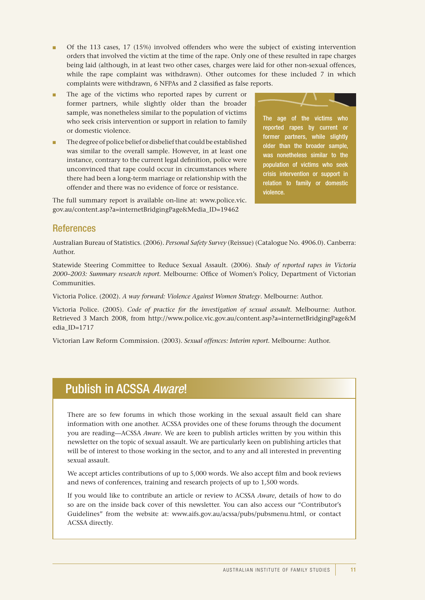- Of the 113 cases, 17 (15%) involved offenders who were the subject of existing intervention orders that involved the victim at the time of the rape. Only one of these resulted in rape charges being laid (although, in at least two other cases, charges were laid for other non-sexual offences, while the rape complaint was withdrawn). Other outcomes for these included 7 in which complaints were withdrawn, 6 NFPAs and 2 classified as false reports.
- The age of the victims who reported rapes by current or former partners, while slightly older than the broader sample, was nonetheless similar to the population of victims who seek crisis intervention or support in relation to family or domestic violence.
- The degree of police belief or disbelief that could be established was similar to the overall sample. However, in at least one instance, contrary to the current legal definition, police were unconvinced that rape could occur in circumstances where there had been a long-term marriage or relationship with the offender and there was no evidence of force or resistance.

The full summary report is available on-line at: www.police.vic. gov.au/content.asp?a=internetBridgingPage&Media\_ID=19462



The age of the victims who reported rapes by current or former partners, while slightly older than the broader sample, was nonetheless similar to the population of victims who seek crisis intervention or support in relation to family or domestic violence.

## **References**

Australian Bureau of Statistics. (2006). *Personal Safety Survey* (Reissue) (Catalogue No. 4906.0). Canberra: Author.

Statewide Steering Committee to Reduce Sexual Assault. (2006). *Study of reported rapes in Victoria 2000–2003: Summary research report*. Melbourne: Office of Women's Policy, Department of Victorian Communities.

Victoria Police. (2002). *A way forward: Violence Against Women Strategy*. Melbourne: Author.

Victoria Police. (2005). *Code of practice for the investigation of sexual assault*. Melbourne: Author. Retrieved 3 March 2008, from http://www.police.vic.gov.au/content.asp?a=internetBridgingPage&M edia\_ID=1717

Victorian Law Reform Commission. (2003). *Sexual offences: Interim report*. Melbourne: Author.

## Publish in ACSSA *Aware*!

There are so few forums in which those working in the sexual assault field can share information with one another. ACSSA provides one of these forums through the document you are reading—ACSSA *Aware*. We are keen to publish articles written by you within this newsletter on the topic of sexual assault. We are particularly keen on publishing articles that will be of interest to those working in the sector, and to any and all interested in preventing sexual assault.

We accept articles contributions of up to 5,000 words. We also accept film and book reviews and news of conferences, training and research projects of up to 1,500 words.

If you would like to contribute an article or review to ACSSA *Aware*, details of how to do so are on the inside back cover of this newsletter. You can also access our "Contributor's Guidelines" from the website at: www.aifs.gov.au/acssa/pubs/pubsmenu.html, or contact ACSSA directly.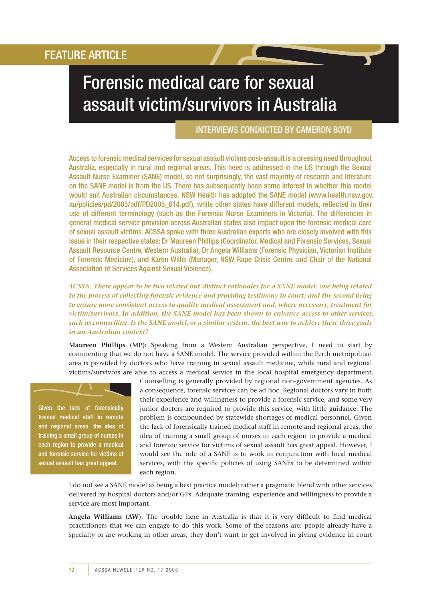# Forensic medical care for sexual assault victim/survivors in Australia

#### INTERVIEWS CONDUCTED by Cameron Boyd

Access to forensic medical services for sexual assault victims post-assault is a pressing need throughout Australia, especially in rural and regional areas. This need is addressed in the US through the Sexual Assault Nurse Examiner (SANE) model, so not surprisingly, the vast majority of research and literature on the SANE model is from the US. There has subsequently been some interest in whether this model would suit Australian circumstances. NSW Health has adopted the SANE model (www.health.nsw.gov. au/policies/pd/2005/pdf/PD2005\_614.pdf), while other states have different models, reflected in their use of different terminology (such as the Forensic Nurse Examiners in Victoria). The differences in general medical service provision across Australian states also impact upon the forensic medical care of sexual assault victims. ACSSA spoke with three Australian experts who are closely involved with this issue in their respective states: Dr Maureen Phillips (Coordinator, Medical and Forensic Services, Sexual Assault Resource Centre, Western Australia), Dr Angela Williams (Forensic Physician, Victorian Institute of Forensic Medicine), and Karen Willis (Manager, NSW Rape Crisis Centre, and Chair of the National Association of Services Against Sexual Violence).

*ACSSA: There appear to be two related but distinct rationales for a SANE model: one being related to the process of collecting forensic evidence and providing testimony in court; and the second being to ensure more consistent access to quality medical assessment and, where necessary, treatment for victim/survivors. In addition, the SANE model has been shown to enhance access to other services, such as counselling. Is the SANE model, or a similar system, the best way to achieve these three goals in an Australian context?*

**Maureen Phillips (MP):** Speaking from a Western Australian perspective, I need to start by commenting that we do not have a SANE model. The service provided within the Perth metropolitan area is provided by doctors who have training in sexual assault medicine, while rural and regional victims/survivors are able to access a medical service in the local hospital emergency department.

Given the lack of forensically trained medical staff in remote and regional areas, the idea of training a small group of nurses in each region to provide a medical and forensic service for victims of sexual assault has great appeal.

Counselling is generally provided by regional non-government agencies. As a consequence, forensic services can be ad hoc. Regional doctors vary in both their experience and willingness to provide a forensic service, and some very junior doctors are required to provide this service, with little guidance. The problem is compounded by statewide shortages of medical personnel. Given the lack of forensically trained medical staff in remote and regional areas, the idea of training a small group of nurses in each region to provide a medical and forensic service for victims of sexual assault has great appeal. However, I would see the role of a SANE is to work in conjunction with local medical services, with the specific policies of using SANEs to be determined within each region.

I do not see a SANE model as being a best practice model; rather a pragmatic blend with other services delivered by hospital doctors and/or GPs. Adequate training, experience and willingness to provide a service are most important.

**Angela Williams (AW):** The trouble here in Australia is that it is very difficult to find medical practitioners that we can engage to do this work. Some of the reasons are: people already have a specialty or are working in other areas; they don't want to get involved in giving evidence in court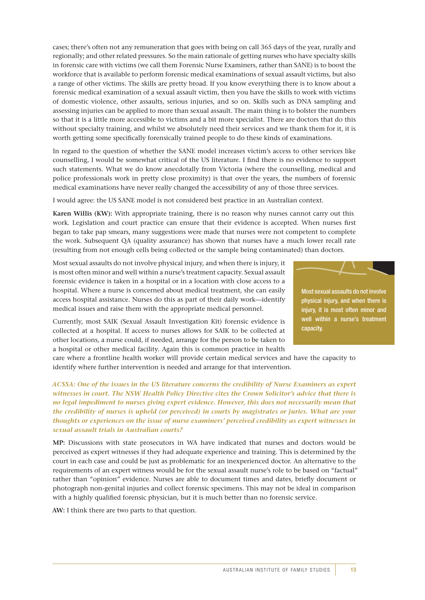cases; there's often not any remuneration that goes with being on call 365 days of the year, rurally and regionally; and other related pressures. So the main rationale of getting nurses who have specialty skills in forensic care with victims (we call them Forensic Nurse Examiners, rather than SANE) is to boost the workforce that is available to perform forensic medical examinations of sexual assault victims, but also a range of other victims. The skills are pretty broad. If you know everything there is to know about a forensic medical examination of a sexual assault victim, then you have the skills to work with victims of domestic violence, other assaults, serious injuries, and so on. Skills such as DNA sampling and assessing injuries can be applied to more than sexual assault. The main thing is to bolster the numbers so that it is a little more accessible to victims and a bit more specialist. There are doctors that do this without specialty training, and whilst we absolutely need their services and we thank them for it, it is worth getting some specifically forensically trained people to do these kinds of examinations.

In regard to the question of whether the SANE model increases victim's access to other services like counselling, I would be somewhat critical of the US literature. I find there is no evidence to support such statements. What we do know anecdotally from Victoria (where the counselling, medical and police professionals work in pretty close proximity) is that over the years, the numbers of forensic medical examinations have never really changed the accessibility of any of those three services.

I would agree: the US SANE model is not considered best practice in an Australian context.

**Karen Willis (KW):** With appropriate training, there is no reason why nurses cannot carry out this work. Legislation and court practice can ensure that their evidence is accepted. When nurses first began to take pap smears, many suggestions were made that nurses were not competent to complete the work. Subsequent QA (quality assurance) has shown that nurses have a much lower recall rate (resulting from not enough cells being collected or the sample being contaminated) than doctors.

Most sexual assaults do not involve physical injury, and when there is injury, it is most often minor and well within a nurse's treatment capacity. Sexual assault forensic evidence is taken in a hospital or in a location with close access to a hospital. Where a nurse is concerned about medical treatment, she can easily access hospital assistance. Nurses do this as part of their daily work—identify medical issues and raise them with the appropriate medical personnel.

Currently, most SAIK (Sexual Assault Investigation Kit) forensic evidence is collected at a hospital. If access to nurses allows for SAIK to be collected at other locations, a nurse could, if needed, arrange for the person to be taken to a hospital or other medical facility. Again this is common practice in health



physical injury, and when there is iniury, it is most often minor and well within a nurse's treatment capacity.

care where a frontline health worker will provide certain medical services and have the capacity to identify where further intervention is needed and arrange for that intervention.

*ACSSA: One of the issues in the US literature concerns the credibility of Nurse Examiners as expert witnesses in court. The NSW Health Policy Directive cites the Crown Solicitor's advice that there is no legal impediment to nurses giving expert evidence. However, this does not necessarily mean that the credibility of nurses is upheld (or perceived) in courts by magistrates or juries. What are your thoughts or experiences on the issue of nurse examiners' perceived credibility as expert witnesses in sexual assault trials in Australian courts?*

**MP:** Discussions with state prosecutors in WA have indicated that nurses and doctors would be perceived as expert witnesses if they had adequate experience and training. This is determined by the court in each case and could be just as problematic for an inexperienced doctor. An alternative to the requirements of an expert witness would be for the sexual assault nurse's role to be based on "factual" rather than "opinion" evidence. Nurses are able to document times and dates, briefly document or photograph non-genital injuries and collect forensic specimens. This may not be ideal in comparison with a highly qualified forensic physician, but it is much better than no forensic service.

**AW:** I think there are two parts to that question.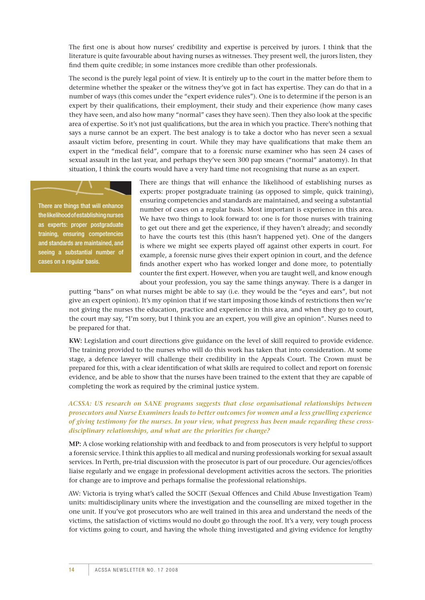The first one is about how nurses' credibility and expertise is perceived by jurors. I think that the literature is quite favourable about having nurses as witnesses. They present well, the jurors listen, they find them quite credible; in some instances more credible than other professionals.

The second is the purely legal point of view. It is entirely up to the court in the matter before them to determine whether the speaker or the witness they've got in fact has expertise. They can do that in a number of ways (this comes under the "expert evidence rules"). One is to determine if the person is an expert by their qualifications, their employment, their study and their experience (how many cases they have seen, and also how many "normal" cases they have seen). Then they also look at the specific area of expertise. So it's not just qualifications, but the area in which you practice. There's nothing that says a nurse cannot be an expert. The best analogy is to take a doctor who has never seen a sexual assault victim before, presenting in court. While they may have qualifications that make them an expert in the "medical field", compare that to a forensic nurse examiner who has seen 24 cases of sexual assault in the last year, and perhaps they've seen 300 pap smears ("normal" anatomy). In that situation, I think the courts would have a very hard time not recognising that nurse as an expert.

There are things that will enhance the likelihood of establishing nurses as experts: proper postgraduate training, ensuring competencies and standards are maintained, and seeing a substantial number of cases on a regular basis.

There are things that will enhance the likelihood of establishing nurses as experts: proper postgraduate training (as opposed to simple, quick training), ensuring competencies and standards are maintained, and seeing a substantial number of cases on a regular basis. Most important is experience in this area. We have two things to look forward to: one is for those nurses with training to get out there and get the experience, if they haven't already; and secondly to have the courts test this (this hasn't happened yet). One of the dangers is where we might see experts played off against other experts in court. For example, a forensic nurse gives their expert opinion in court, and the defence finds another expert who has worked longer and done more, to potentially counter the first expert. However, when you are taught well, and know enough about your profession, you say the same things anyway. There is a danger in

putting "bans" on what nurses might be able to say (i.e. they would be the "eyes and ears", but not give an expert opinion). It's my opinion that if we start imposing those kinds of restrictions then we're not giving the nurses the education, practice and experience in this area, and when they go to court, the court may say, "I'm sorry, but I think you are an expert, you will give an opinion". Nurses need to be prepared for that.

**KW:** Legislation and court directions give guidance on the level of skill required to provide evidence. The training provided to the nurses who will do this work has taken that into consideration. At some stage, a defence lawyer will challenge their credibility in the Appeals Court. The Crown must be prepared for this, with a clear identification of what skills are required to collect and report on forensic evidence, and be able to show that the nurses have been trained to the extent that they are capable of completing the work as required by the criminal justice system.

#### *ACSSA: US research on SANE programs suggests that close organisational relationships between prosecutors and Nurse Examiners leads to better outcomes for women and a less gruelling experience of giving testimony for the nurses. In your view, what progress has been made regarding these crossdisciplinary relationships, and what are the priorities for change?*

**MP:** A close working relationship with and feedback to and from prosecutors is very helpful to support a forensic service. I think this applies to all medical and nursing professionals working for sexual assault services. In Perth, pre-trial discussion with the prosecutor is part of our procedure. Our agencies/offices liaise regularly and we engage in professional development activities across the sectors. The priorities for change are to improve and perhaps formalise the professional relationships.

AW: Victoria is trying what's called the SOCIT (Sexual Offences and Child Abuse Investigation Team) units: multidisciplinary units where the investigation and the counselling are mixed together in the one unit. If you've got prosecutors who are well trained in this area and understand the needs of the victims, the satisfaction of victims would no doubt go through the roof. It's a very, very tough process for victims going to court, and having the whole thing investigated and giving evidence for lengthy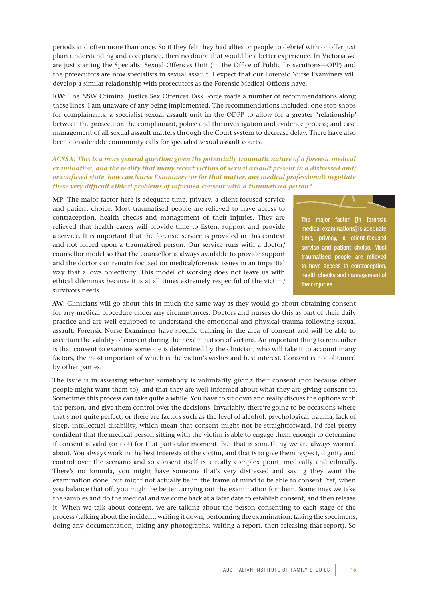periods and often more than once. So if they felt they had allies or people to debrief with or offer just plain understanding and acceptance, then no doubt that would be a better experience. In Victoria we are just starting the Specialist Sexual Offences Unit (in the Office of Public Prosecutions—OPP) and the prosecutors are now specialists in sexual assault. I expect that our Forensic Nurse Examiners will develop a similar relationship with prosecutors as the Forensic Medical Officers have.

**KW:** The NSW Criminal Justice Sex Offences Task Force made a number of recommendations along these lines. I am unaware of any being implemented. The recommendations included: one-stop shops for complainants: a specialist sexual assault unit in the ODPP to allow for a greater "relationship" between the prosecutor, the complainant, police and the investigation and evidence process; and case management of all sexual assault matters through the Court system to decrease delay. There have also been considerable community calls for specialist sexual assault courts.

*ACSSA: This is a more general question: given the potentially traumatic nature of a forensic medical examination, and the reality that many recent victims of sexual assault present in a distressed and/ or confused state, how can Nurse Examiners (or for that matter, any medical professional) negotiate these very difficult ethical problems of informed consent with a traumatised person?*

**MP:** The major factor here is adequate time, privacy, a client-focused service and patient choice. Most traumatised people are relieved to have access to contraception, health checks and management of their injuries. They are relieved that health carers will provide time to listen, support and provide a service. It is important that the forensic service is provided in this context and not forced upon a traumatised person. Our service runs with a doctor/ counsellor model so that the counsellor is always available to provide support and the doctor can remain focused on medical/forensic issues in an impartial way that allows objectivity. This model of working does not leave us with ethical dilemmas because it is at all times extremely respectful of the victim/ survivors needs.



The major factor [in forensic medical examinations] is adequate time, privacy, a client-focused service and patient choice. Most traumatised people are relieved to have access to contraception, health checks and management of their injuries.

**AW:** Clinicians will go about this in much the same way as they would go about obtaining consent for any medical procedure under any circumstances. Doctors and nurses do this as part of their daily practice and are well equipped to understand the emotional and physical trauma following sexual assault. Forensic Nurse Examiners have specific training in the area of consent and will be able to ascertain the validity of consent during their examination of victims. An important thing to remember is that consent to examine someone is determined by the clinician, who will take into account many factors, the most important of which is the victim's wishes and best interest. Consent is not obtained by other parties.

The issue is in assessing whether somebody is voluntarily giving their consent (not because other people might want them to), and that they are well-informed about what they are giving consent to. Sometimes this process can take quite a while. You have to sit down and really discuss the options with the person, and give them control over the decisions. Invariably, there're going to be occasions where that's not quite perfect, or there are factors such as the level of alcohol, psychological trauma, lack of sleep, intellectual disability, which mean that consent might not be straightforward. I'd feel pretty confident that the medical person sitting with the victim is able to engage them enough to determine if consent is valid (or not) for that particular moment. But that is something we are always worried about. You always work in the best interests of the victim, and that is to give them respect, dignity and control over the scenario and so consent itself is a really complex point, medically and ethically. There's no formula, you might have someone that's very distressed and saying they want the examination done, but might not actually be in the frame of mind to be able to consent. Yet, when you balance that off, you might be better carrying out the examination for them. Sometimes we take the samples and do the medical and we come back at a later date to establish consent, and then release it. When we talk about consent, we are talking about the person consenting to each stage of the process (talking about the incident, writing it down, performing the examination, taking the specimens, doing any documentation, taking any photographs, writing a report, then releasing that report). So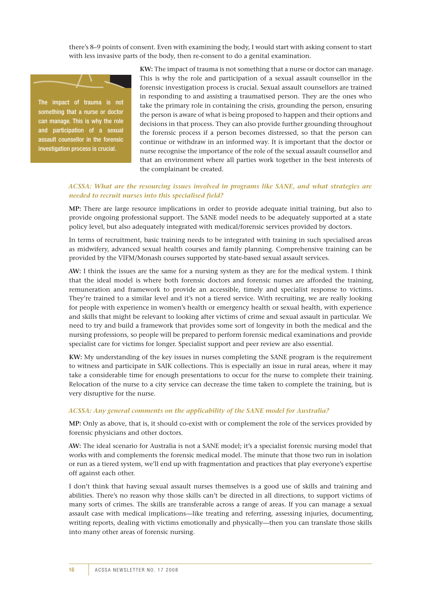there's 8–9 points of consent. Even with examining the body, I would start with asking consent to start with less invasive parts of the body, then re-consent to do a genital examination.



can manage. This is why the role and participation of a sexual assault counsellor in the forensic investigation process is crucial.

**KW:** The impact of trauma is not something that a nurse or doctor can manage. This is why the role and participation of a sexual assault counsellor in the forensic investigation process is crucial. Sexual assault counsellors are trained in responding to and assisting a traumatised person. They are the ones who take the primary role in containing the crisis, grounding the person, ensuring the person is aware of what is being proposed to happen and their options and decisions in that process. They can also provide further grounding throughout the forensic process if a person becomes distressed, so that the person can continue or withdraw in an informed way. It is important that the doctor or nurse recognise the importance of the role of the sexual assault counsellor and that an environment where all parties work together in the best interests of the complainant be created.

#### *ACSSA: What are the resourcing issues involved in programs like SANE, and what strategies are needed to recruit nurses into this specialised field?*

**MP:** There are large resource implications in order to provide adequate initial training, but also to provide ongoing professional support. The SANE model needs to be adequately supported at a state policy level, but also adequately integrated with medical/forensic services provided by doctors.

In terms of recruitment, basic training needs to be integrated with training in such specialised areas as midwifery, advanced sexual health courses and family planning. Comprehensive training can be provided by the VIFM/Monash courses supported by state-based sexual assault services.

**AW:** I think the issues are the same for a nursing system as they are for the medical system. I think that the ideal model is where both forensic doctors and forensic nurses are afforded the training, remuneration and framework to provide an accessible, timely and specialist response to victims. They're trained to a similar level and it's not a tiered service. With recruiting, we are really looking for people with experience in women's health or emergency health or sexual health, with experience and skills that might be relevant to looking after victims of crime and sexual assault in particular. We need to try and build a framework that provides some sort of longevity in both the medical and the nursing professions, so people will be prepared to perform forensic medical examinations and provide specialist care for victims for longer. Specialist support and peer review are also essential.

**KW:** My understanding of the key issues in nurses completing the SANE program is the requirement to witness and participate in SAIK collections. This is especially an issue in rural areas, where it may take a considerable time for enough presentations to occur for the nurse to complete their training. Relocation of the nurse to a city service can decrease the time taken to complete the training, but is very disruptive for the nurse.

#### *ACSSA: Any general comments on the applicability of the SANE model for Australia?*

**MP:** Only as above, that is, it should co-exist with or complement the role of the services provided by forensic physicians and other doctors.

**AW:** The ideal scenario for Australia is not a SANE model; it's a specialist forensic nursing model that works with and complements the forensic medical model. The minute that those two run in isolation or run as a tiered system, we'll end up with fragmentation and practices that play everyone's expertise off against each other.

I don't think that having sexual assault nurses themselves is a good use of skills and training and abilities. There's no reason why those skills can't be directed in all directions, to support victims of many sorts of crimes. The skills are transferable across a range of areas. If you can manage a sexual assault case with medical implications—like treating and referring, assessing injuries, documenting, writing reports, dealing with victims emotionally and physically—then you can translate those skills into many other areas of forensic nursing.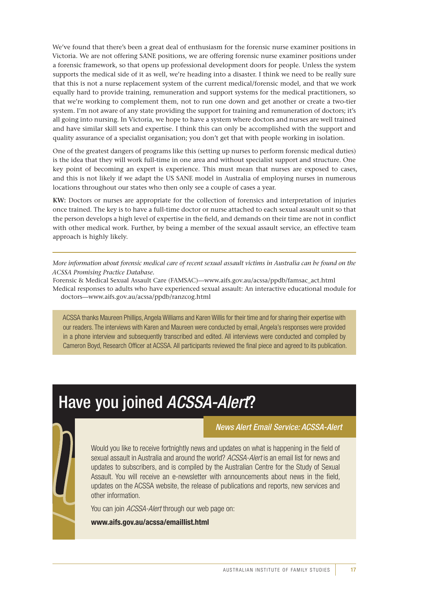We've found that there's been a great deal of enthusiasm for the forensic nurse examiner positions in Victoria. We are not offering SANE positions, we are offering forensic nurse examiner positions under a forensic framework, so that opens up professional development doors for people. Unless the system supports the medical side of it as well, we're heading into a disaster. I think we need to be really sure that this is not a nurse replacement system of the current medical/forensic model, and that we work equally hard to provide training, remuneration and support systems for the medical practitioners, so that we're working to complement them, not to run one down and get another or create a two-tier system. I'm not aware of any state providing the support for training and remuneration of doctors; it's all going into nursing. In Victoria, we hope to have a system where doctors and nurses are well trained and have similar skill sets and expertise. I think this can only be accomplished with the support and quality assurance of a specialist organisation; you don't get that with people working in isolation.

One of the greatest dangers of programs like this (setting up nurses to perform forensic medical duties) is the idea that they will work full-time in one area and without specialist support and structure. One key point of becoming an expert is experience. This must mean that nurses are exposed to cases, and this is not likely if we adapt the US SANE model in Australia of employing nurses in numerous locations throughout our states who then only see a couple of cases a year.

**KW:** Doctors or nurses are appropriate for the collection of forensics and interpretation of injuries once trained. The key is to have a full-time doctor or nurse attached to each sexual assault unit so that the person develops a high level of expertise in the field, and demands on their time are not in conflict with other medical work. Further, by being a member of the sexual assault service, an effective team approach is highly likely.

*More information about forensic medical care of recent sexual assault victims in Australia can be found on the ACSSA Promising Practice Database.*

Forensic & Medical Sexual Assault Care (FAMSAC)—www.aifs.gov.au/acssa/ppdb/famsac\_act.html Medical responses to adults who have experienced sexual assault: An interactive educational module for doctors—www.aifs.gov.au/acssa/ppdb/ranzcog.html

ACSSA thanks Maureen Phillips, Angela Williams and Karen Willis for their time and for sharing their expertise with our readers. The interviews with Karen and Maureen were conducted by email, Angela's responses were provided in a phone interview and subsequently transcribed and edited. All interviews were conducted and compiled by Cameron Boyd, Research Officer at ACSSA. All participants reviewed the final piece and agreed to its publication.

# Have you joined *ACSSA-Alert*?

*News Alert Email Service: ACSSA-Alert*

Would you like to receive fortnightly news and updates on what is happening in the field of sexual assault in Australia and around the world? *ACSSA-Alert* is an email list for news and updates to subscribers, and is compiled by the Australian Centre for the Study of Sexual Assault. You will receive an e-newsletter with announcements about news in the field, updates on the ACSSA website, the release of publications and reports, new services and other information.

You can join *ACSSA-Alert* through our web page on:

**www.aifs.gov.au/acssa/emaillist.html**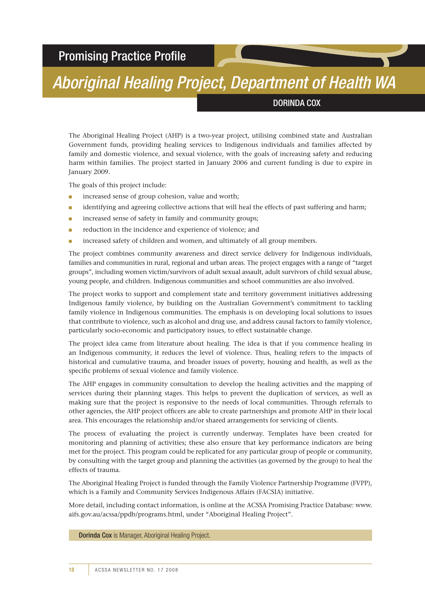## Promising Practice Profile

# *Aboriginal Healing Project, Department of Health WA*

#### Dorinda Cox

The Aboriginal Healing Project (AHP) is a two-year project, utilising combined state and Australian Government funds, providing healing services to Indigenous individuals and families affected by family and domestic violence, and sexual violence, with the goals of increasing safety and reducing harm within families. The project started in January 2006 and current funding is due to expire in January 2009.

The goals of this project include:

- increased sense of group cohesion, value and worth:
- identifying and agreeing collective actions that will heal the effects of past suffering and harm;
- increased sense of safety in family and community groups;
- reduction in the incidence and experience of violence; and
- increased safety of children and women, and ultimately of all group members.

The project combines community awareness and direct service delivery for Indigenous individuals, families and communities in rural, regional and urban areas. The project engages with a range of "target groups", including women victim/survivors of adult sexual assault, adult survivors of child sexual abuse, young people, and children. Indigenous communities and school communities are also involved.

The project works to support and complement state and territory government initiatives addressing Indigenous family violence, by building on the Australian Government's commitment to tackling family violence in Indigenous communities. The emphasis is on developing local solutions to issues that contribute to violence, such as alcohol and drug use, and address causal factors to family violence, particularly socio-economic and participatory issues, to effect sustainable change.

The project idea came from literature about healing. The idea is that if you commence healing in an Indigenous community, it reduces the level of violence. Thus, healing refers to the impacts of historical and cumulative trauma, and broader issues of poverty, housing and health, as well as the specific problems of sexual violence and family violence.

The AHP engages in community consultation to develop the healing activities and the mapping of services during their planning stages. This helps to prevent the duplication of services, as well as making sure that the project is responsive to the needs of local communities. Through referrals to other agencies, the AHP project officers are able to create partnerships and promote AHP in their local area. This encourages the relationship and/or shared arrangements for servicing of clients.

The process of evaluating the project is currently underway. Templates have been created for monitoring and planning of activities; these also ensure that key performance indicators are being met for the project. This program could be replicated for any particular group of people or community, by consulting with the target group and planning the activities (as governed by the group) to heal the effects of trauma.

The Aboriginal Healing Project is funded through the Family Violence Partnership Programme (FVPP), which is a Family and Community Services Indigenous Affairs (FACSIA) initiative.

More detail, including contact information, is online at the ACSSA Promising Practice Database: www. aifs.gov.au/acssa/ppdb/programs.html, under "Aboriginal Healing Project".

Dorinda Cox is Manager, Aboriginal Healing Project.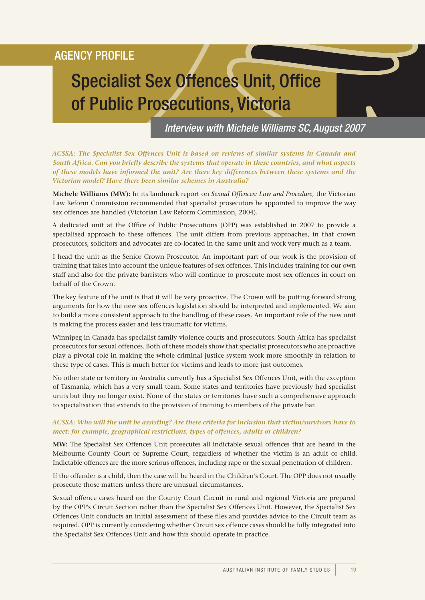## Agency profile

# Specialist Sex Offences Unit, Office of Public Prosecutions, Victoria

*Interview with Michele Williams SC, August 2007*

*ACSSA: The Specialist Sex Offences Unit is based on reviews of similar systems in Canada and South Africa. Can you briefly describe the systems that operate in these countries, and what aspects of these models have informed the unit? Are there key differences between these systems and the Victorian model? Have there been similar schemes in Australia?*

**Michele Williams (MW):** In its landmark report on *Sexual Offences: Law and Procedure*, the Victorian Law Reform Commission recommended that specialist prosecutors be appointed to improve the way sex offences are handled (Victorian Law Reform Commission, 2004).

A dedicated unit at the Office of Public Prosecutions (OPP) was established in 2007 to provide a specialised approach to these offences. The unit differs from previous approaches, in that crown prosecutors, solicitors and advocates are co-located in the same unit and work very much as a team.

I head the unit as the Senior Crown Prosecutor. An important part of our work is the provision of training that takes into account the unique features of sex offences. This includes training for our own staff and also for the private barristers who will continue to prosecute most sex offences in court on behalf of the Crown.

The key feature of the unit is that it will be very proactive. The Crown will be putting forward strong arguments for how the new sex offences legislation should be interpreted and implemented. We aim to build a more consistent approach to the handling of these cases. An important role of the new unit is making the process easier and less traumatic for victims.

Winnipeg in Canada has specialist family violence courts and prosecutors. South Africa has specialist prosecutors for sexual offences. Both of these models show that specialist prosecutors who are proactive play a pivotal role in making the whole criminal justice system work more smoothly in relation to these type of cases. This is much better for victims and leads to more just outcomes.

No other state or territory in Australia currently has a Specialist Sex Offences Unit, with the exception of Tasmania, which has a very small team. Some states and territories have previously had specialist units but they no longer exist. None of the states or territories have such a comprehensive approach to specialisation that extends to the provision of training to members of the private bar.

#### *ACSSA: Who will the unit be assisting? Are there criteria for inclusion that victim/survivors have to meet: for example, geographical restrictions, types of offences, adults or children?*

**MW:** The Specialist Sex Offences Unit prosecutes all indictable sexual offences that are heard in the Melbourne County Court or Supreme Court, regardless of whether the victim is an adult or child. Indictable offences are the more serious offences, including rape or the sexual penetration of children.

If the offender is a child, then the case will be heard in the Children's Court. The OPP does not usually prosecute those matters unless there are unusual circumstances.

Sexual offence cases heard on the County Court Circuit in rural and regional Victoria are prepared by the OPP's Circuit Section rather than the Specialist Sex Offences Unit. However, the Specialist Sex Offences Unit conducts an initial assessment of these files and provides advice to the Circuit team as required. OPP is currently considering whether Circuit sex offence cases should be fully integrated into the Specialist Sex Offences Unit and how this should operate in practice.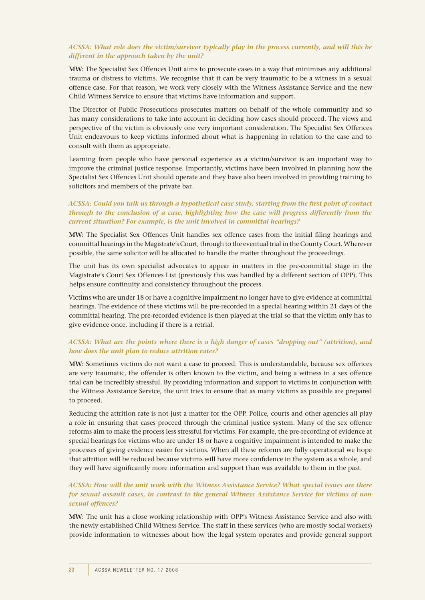#### *ACSSA: What role does the victim/survivor typically play in the process currently, and will this be different in the approach taken by the unit?*

**MW:** The Specialist Sex Offences Unit aims to prosecute cases in a way that minimises any additional trauma or distress to victims. We recognise that it can be very traumatic to be a witness in a sexual offence case. For that reason, we work very closely with the Witness Assistance Service and the new Child Witness Service to ensure that victims have information and support.

The Director of Public Prosecutions prosecutes matters on behalf of the whole community and so has many considerations to take into account in deciding how cases should proceed. The views and perspective of the victim is obviously one very important consideration. The Specialist Sex Offences Unit endeavours to keep victims informed about what is happening in relation to the case and to consult with them as appropriate.

Learning from people who have personal experience as a victim/survivor is an important way to improve the criminal justice response. Importantly, victims have been involved in planning how the Specialist Sex Offences Unit should operate and they have also been involved in providing training to solicitors and members of the private bar.

#### *ACSSA: Could you talk us through a hypothetical case study, starting from the first point of contact through to the conclusion of a case, highlighting how the case will progress differently from the current situation? For example, is the unit involved in committal hearings?*

**MW:** The Specialist Sex Offences Unit handles sex offence cases from the initial filing hearings and committal hearings in the Magistrate's Court, through to the eventual trial in the County Court. Wherever possible, the same solicitor will be allocated to handle the matter throughout the proceedings.

The unit has its own specialist advocates to appear in matters in the pre-committal stage in the Magistrate's Court Sex Offences List (previously this was handled by a different section of OPP). This helps ensure continuity and consistency throughout the process.

Victims who are under 18 or have a cognitive impairment no longer have to give evidence at committal hearings. The evidence of these victims will be pre-recorded in a special hearing within 21 days of the committal hearing. The pre-recorded evidence is then played at the trial so that the victim only has to give evidence once, including if there is a retrial.

#### *ACSSA: What are the points where there is a high danger of cases "dropping out" (attrition), and how does the unit plan to reduce attrition rates?*

**MW:** Sometimes victims do not want a case to proceed. This is understandable, because sex offences are very traumatic, the offender is often known to the victim, and being a witness in a sex offence trial can be incredibly stressful. By providing information and support to victims in conjunction with the Witness Assistance Service, the unit tries to ensure that as many victims as possible are prepared to proceed.

Reducing the attrition rate is not just a matter for the OPP. Police, courts and other agencies all play a role in ensuring that cases proceed through the criminal justice system. Many of the sex offence reforms aim to make the process less stressful for victims. For example, the pre-recording of evidence at special hearings for victims who are under 18 or have a cognitive impairment is intended to make the processes of giving evidence easier for victims. When all these reforms are fully operational we hope that attrition will be reduced because victims will have more confidence in the system as a whole, and they will have significantly more information and support than was available to them in the past.

#### *ACSSA: How will the unit work with the Witness Assistance Service? What special issues are there for sexual assault cases, in contrast to the general Witness Assistance Service for victims of nonsexual offences?*

**MW:** The unit has a close working relationship with OPP's Witness Assistance Service and also with the newly established Child Witness Service. The staff in these services (who are mostly social workers) provide information to witnesses about how the legal system operates and provide general support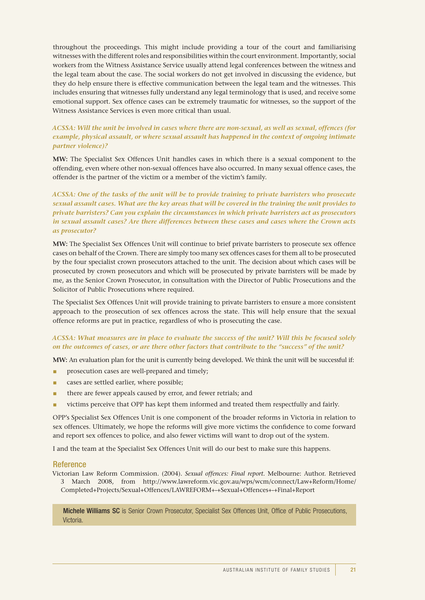throughout the proceedings. This might include providing a tour of the court and familiarising witnesses with the different roles and responsibilities within the court environment. Importantly, social workers from the Witness Assistance Service usually attend legal conferences between the witness and the legal team about the case. The social workers do not get involved in discussing the evidence, but they do help ensure there is effective communication between the legal team and the witnesses. This includes ensuring that witnesses fully understand any legal terminology that is used, and receive some emotional support. Sex offence cases can be extremely traumatic for witnesses, so the support of the Witness Assistance Services is even more critical than usual.

#### *ACSSA: Will the unit be involved in cases where there are non-sexual, as well as sexual, offences (for example, physical assault, or where sexual assault has happened in the context of ongoing intimate partner violence)?*

**MW:** The Specialist Sex Offences Unit handles cases in which there is a sexual component to the offending, even where other non-sexual offences have also occurred. In many sexual offence cases, the offender is the partner of the victim or a member of the victim's family.

#### *ACSSA: One of the tasks of the unit will be to provide training to private barristers who prosecute sexual assault cases. What are the key areas that will be covered in the training the unit provides to private barristers? Can you explain the circumstances in which private barristers act as prosecutors in sexual assault cases? Are there differences between these cases and cases where the Crown acts as prosecutor?*

**MW:** The Specialist Sex Offences Unit will continue to brief private barristers to prosecute sex offence cases on behalf of the Crown. There are simply too many sex offences cases for them all to be prosecuted by the four specialist crown prosecutors attached to the unit. The decision about which cases will be prosecuted by crown prosecutors and which will be prosecuted by private barristers will be made by me, as the Senior Crown Prosecutor, in consultation with the Director of Public Prosecutions and the Solicitor of Public Prosecutions where required.

The Specialist Sex Offences Unit will provide training to private barristers to ensure a more consistent approach to the prosecution of sex offences across the state. This will help ensure that the sexual offence reforms are put in practice, regardless of who is prosecuting the case.

#### *ACSSA: What measures are in place to evaluate the success of the unit? Will this be focused solely on the outcomes of cases, or are there other factors that contribute to the "success" of the unit?*

**MW:** An evaluation plan for the unit is currently being developed. We think the unit will be successful if:

- prosecution cases are well-prepared and timely;
- cases are settled earlier, where possible;
- there are fewer appeals caused by error, and fewer retrials; and
- victims perceive that OPP has kept them informed and treated them respectfully and fairly.

OPP's Specialist Sex Offences Unit is one component of the broader reforms in Victoria in relation to sex offences. Ultimately, we hope the reforms will give more victims the confidence to come forward and report sex offences to police, and also fewer victims will want to drop out of the system.

I and the team at the Specialist Sex Offences Unit will do our best to make sure this happens.

#### Reference

Victorian Law Reform Commission. (2004). *Sexual offences: Final report*. Melbourne: Author. Retrieved 3 March 2008, from http://www.lawreform.vic.gov.au/wps/wcm/connect/Law+Reform/Home/ Completed+Projects/Sexual+Offences/LAWREFORM+-+Sexual+Offences+-+Final+Report

Michele Williams SC is Senior Crown Prosecutor, Specialist Sex Offences Unit, Office of Public Prosecutions, Victoria.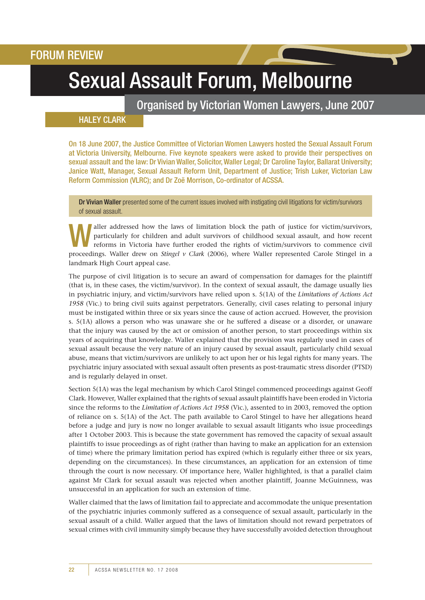# Sexual Assault Forum, Melbourne

Organised by Victorian Women Lawyers, June 2007

### **HALEY CLARK**

On 18 June 2007, the Justice Committee of Victorian Women Lawyers hosted the Sexual Assault Forum at Victoria University, Melbourne. Five keynote speakers were asked to provide their perspectives on sexual assault and the law: Dr Vivian Waller, Solicitor, Waller Legal; Dr Caroline Taylor, Ballarat University; Janice Watt, Manager, Sexual Assault Reform Unit, Department of Justice; Trish Luker, Victorian Law Reform Commission (VLRC); and Dr Zoë Morrison, Co-ordinator of ACSSA.

Dr Vivian Waller presented some of the current issues involved with instigating civil litigations for victim/survivors of sexual assault.

aller addressed how the laws of limitation block the path of justice for victim/survivors, particularly for children and adult survivors of childhood sexual assault, and how recent reforms in Victoria have further eroded t particularly for children and adult survivors of childhood sexual assault, and how recent proceedings. Waller drew on *Stingel v Clark* (2006), where Waller represented Carole Stingel in a landmark High Court appeal case.

The purpose of civil litigation is to secure an award of compensation for damages for the plaintiff (that is, in these cases, the victim/survivor). In the context of sexual assault, the damage usually lies in psychiatric injury, and victim/survivors have relied upon s. 5(1A) of the *Limitations of Actions Act 1958* (Vic.) to bring civil suits against perpetrators. Generally, civil cases relating to personal injury must be instigated within three or six years since the cause of action accrued. However, the provision s. 5(1A) allows a person who was unaware she or he suffered a disease or a disorder, or unaware that the injury was caused by the act or omission of another person, to start proceedings within six years of acquiring that knowledge. Waller explained that the provision was regularly used in cases of sexual assault because the very nature of an injury caused by sexual assault, particularly child sexual abuse, means that victim/survivors are unlikely to act upon her or his legal rights for many years. The psychiatric injury associated with sexual assault often presents as post-traumatic stress disorder (PTSD) and is regularly delayed in onset.

Section 5(1A) was the legal mechanism by which Carol Stingel commenced proceedings against Geoff Clark. However, Waller explained that the rights of sexual assault plaintiffs have been eroded in Victoria since the reforms to the *Limitation of Actions Act 1958* (Vic.), assented to in 2003, removed the option of reliance on s. 5(1A) of the Act. The path available to Carol Stingel to have her allegations heard before a judge and jury is now no longer available to sexual assault litigants who issue proceedings after 1 October 2003. This is because the state government has removed the capacity of sexual assault plaintiffs to issue proceedings as of right (rather than having to make an application for an extension of time) where the primary limitation period has expired (which is regularly either three or six years, depending on the circumstances). In these circumstances, an application for an extension of time through the court is now necessary. Of importance here, Waller highlighted, is that a parallel claim against Mr Clark for sexual assault was rejected when another plaintiff, Joanne McGuinness, was unsuccessful in an application for such an extension of time.

Waller claimed that the laws of limitation fail to appreciate and accommodate the unique presentation of the psychiatric injuries commonly suffered as a consequence of sexual assault, particularly in the sexual assault of a child. Waller argued that the laws of limitation should not reward perpetrators of sexual crimes with civil immunity simply because they have successfully avoided detection throughout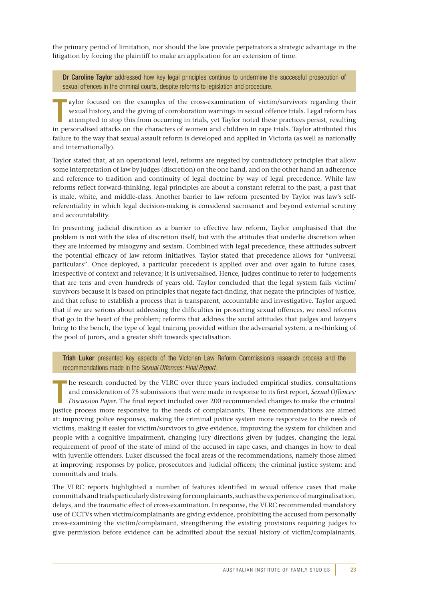the primary period of limitation, nor should the law provide perpetrators a strategic advantage in the litigation by forcing the plaintiff to make an application for an extension of time.

Dr Caroline Taylor addressed how key legal principles continue to undermine the successful prosecution of sexual offences in the criminal courts, despite reforms to legislation and procedure.

T aylor focused on the examples of the cross-examination of victim/survivors regarding their sexual history, and the giving of corroboration warnings in sexual offence trials. Legal reform has attempted to stop this from occurring in trials, yet Taylor noted these practices persist, resulting in personalised attacks on the characters of women and children in rape trials. Taylor attributed this failure to the way that sexual assault reform is developed and applied in Victoria (as well as nationally and internationally).

Taylor stated that, at an operational level, reforms are negated by contradictory principles that allow some interpretation of law by judges (discretion) on the one hand, and on the other hand an adherence and reference to tradition and continuity of legal doctrine by way of legal precedence. While law reforms reflect forward-thinking, legal principles are about a constant referral to the past, a past that is male, white, and middle-class. Another barrier to law reform presented by Taylor was law's selfreferentiality in which legal decision-making is considered sacrosanct and beyond external scrutiny and accountability.

In presenting judicial discretion as a barrier to effective law reform, Taylor emphasised that the problem is not with the idea of discretion itself, but with the attitudes that underlie discretion when they are informed by misogyny and sexism. Combined with legal precedence, these attitudes subvert the potential efficacy of law reform initiatives. Taylor stated that precedence allows for "universal particulars". Once deployed, a particular precedent is applied over and over again to future cases, irrespective of context and relevance; it is universalised. Hence, judges continue to refer to judgements that are tens and even hundreds of years old. Taylor concluded that the legal system fails victim/ survivors because it is based on principles that negate fact-finding, that negate the principles of justice, and that refuse to establish a process that is transparent, accountable and investigative. Taylor argued that if we are serious about addressing the difficulties in prosecting sexual offences, we need reforms that go to the heart of the problem; reforms that address the social attitudes that judges and lawyers bring to the bench, the type of legal training provided within the adversarial system, a re-thinking of the pool of jurors, and a greater shift towards specialisation.

Trish Luker presented key aspects of the Victorian Law Reform Commission's research process and the recommendations made in the *Sexual Offences: Final Report*.

T he research conducted by the VLRC over three years included empirical studies, consultations and consideration of 75 submissions that were made in response to its first report, *Sexual Offences: Discussion Paper*. The final report included over 200 recommended changes to make the criminal justice process more responsive to the needs of complainants. These recommendations are aimed at: improving police responses, making the criminal justice system more responsive to the needs of victims, making it easier for victim/survivors to give evidence, improving the system for children and people with a cognitive impairment, changing jury directions given by judges, changing the legal requirement of proof of the state of mind of the accused in rape cases, and changes in how to deal with juvenile offenders. Luker discussed the focal areas of the recommendations, namely those aimed at improving: responses by police, prosecutors and judicial officers; the criminal justice system; and committals and trials.

The VLRC reports highlighted a number of features identified in sexual offence cases that make committals and trials particularly distressing for complainants, such as the experience of marginalisation, delays, and the traumatic effect of cross-examination. In response, the VLRC recommended mandatory use of CCTVs when victim/complainants are giving evidence, prohibiting the accused from personally cross-examining the victim/complainant, strengthening the existing provisions requiring judges to give permission before evidence can be admitted about the sexual history of victim/complainants,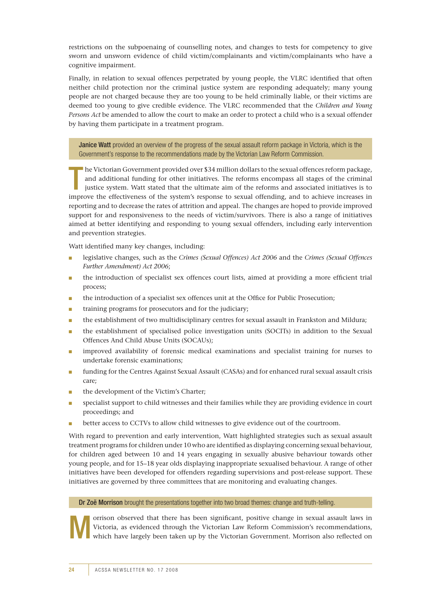restrictions on the subpoenaing of counselling notes, and changes to tests for competency to give sworn and unsworn evidence of child victim/complainants and victim/complainants who have a cognitive impairment.

Finally, in relation to sexual offences perpetrated by young people, the VLRC identified that often neither child protection nor the criminal justice system are responding adequately; many young people are not charged because they are too young to be held criminally liable, or their victims are deemed too young to give credible evidence. The VLRC recommended that the *Children and Young Persons Act* be amended to allow the court to make an order to protect a child who is a sexual offender by having them participate in a treatment program.

Janice Watt provided an overview of the progress of the sexual assault reform package in Victoria, which is the Government's response to the recommendations made by the Victorian Law Reform Commission.

T he Victorian Government provided over \$34 million dollars to the sexual offences reform package, and additional funding for other initiatives. The reforms encompass all stages of the criminal justice system. Watt stated that the ultimate aim of the reforms and associated initiatives is to improve the effectiveness of the system's response to sexual offending, and to achieve increases in reporting and to decrease the rates of attrition and appeal. The changes are hoped to provide improved support for and responsiveness to the needs of victim/survivors. There is also a range of initiatives aimed at better identifying and responding to young sexual offenders, including early intervention and prevention strategies.

Watt identified many key changes, including:

- legislative changes, such as the *Crimes (Sexual Offences) Act 2006* and the *Crimes (Sexual Offences Further Amendment) Act 2006*;
- the introduction of specialist sex offences court lists, aimed at providing a more efficient trial process;
- the introduction of a specialist sex offences unit at the Office for Public Prosecution;
- training programs for prosecutors and for the judiciary:
- the establishment of two multidisciplinary centres for sexual assault in Frankston and Mildura;
- the establishment of specialised police investigation units (SOCITs) in addition to the Sexual Offences And Child Abuse Units (SOCAUs);
- improved availability of forensic medical examinations and specialist training for nurses to undertake forensic examinations;
- funding for the Centres Against Sexual Assault (CASAs) and for enhanced rural sexual assault crisis care;
- the development of the Victim's Charter;
- specialist support to child witnesses and their families while they are providing evidence in court proceedings; and
- better access to CCTVs to allow child witnesses to give evidence out of the courtroom.

With regard to prevention and early intervention, Watt highlighted strategies such as sexual assault treatment programs for children under 10 who are identified as displaying concerning sexual behaviour, for children aged between 10 and 14 years engaging in sexually abusive behaviour towards other young people, and for 15–18 year olds displaying inappropriate sexualised behaviour. A range of other initiatives have been developed for offenders regarding supervisions and post-release support. These initiatives are governed by three committees that are monitoring and evaluating changes.

#### Dr Zoë Morrison brought the presentations together into two broad themes: change and truth-telling.



orrison observed that there has been significant, positive change in sexual assault laws in Victoria, as evidenced through the Victorian Law Reform Commission's recommendations, which have largely been taken up by the Victorian Government. Morrison also reflected on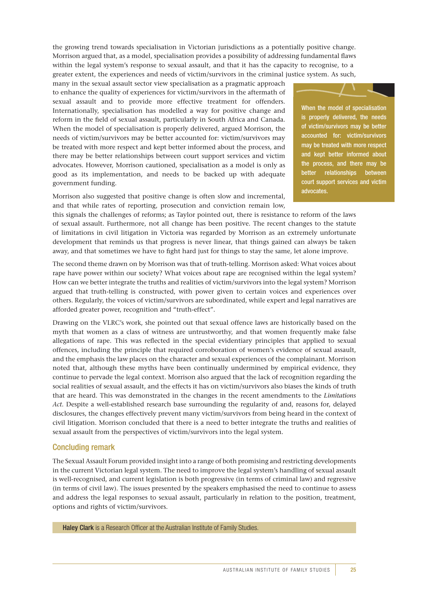the growing trend towards specialisation in Victorian jurisdictions as a potentially positive change. Morrison argued that, as a model, specialisation provides a possibility of addressing fundamental flaws within the legal system's response to sexual assault, and that it has the capacity to recognise, to a greater extent, the experiences and needs of victim/survivors in the criminal justice system. As such,

many in the sexual assault sector view specialisation as a pragmatic approach to enhance the quality of experiences for victim/survivors in the aftermath of sexual assault and to provide more effective treatment for offenders. Internationally, specialisation has modelled a way for positive change and reform in the field of sexual assault, particularly in South Africa and Canada. When the model of specialisation is properly delivered, argued Morrison, the needs of victim/survivors may be better accounted for: victim/survivors may be treated with more respect and kept better informed about the process, and there may be better relationships between court support services and victim advocates. However, Morrison cautioned, specialisation as a model is only as good as its implementation, and needs to be backed up with adequate government funding.

Morrison also suggested that positive change is often slow and incremental, and that while rates of reporting, prosecution and conviction remain low,



When the model of specialisation is properly delivered, the needs of victim/survivors may be better accounted for: victim/survivors may be treated with more respect and kept better informed about the process, and there may be better relationships between court support services and victim advocates.

this signals the challenges of reforms; as Taylor pointed out, there is resistance to reform of the laws of sexual assault. Furthermore, not all change has been positive. The recent changes to the statute of limitations in civil litigation in Victoria was regarded by Morrison as an extremely unfortunate development that reminds us that progress is never linear, that things gained can always be taken away, and that sometimes we have to fight hard just for things to stay the same, let alone improve.

The second theme drawn on by Morrison was that of truth-telling. Morrison asked: What voices about rape have power within our society? What voices about rape are recognised within the legal system? How can we better integrate the truths and realities of victim/survivors into the legal system? Morrison argued that truth-telling is constructed, with power given to certain voices and experiences over others. Regularly, the voices of victim/survivors are subordinated, while expert and legal narratives are afforded greater power, recognition and "truth-effect".

Drawing on the VLRC's work, she pointed out that sexual offence laws are historically based on the myth that women as a class of witness are untrustworthy, and that women frequently make false allegations of rape. This was reflected in the special evidentiary principles that applied to sexual offences, including the principle that required corroboration of women's evidence of sexual assault, and the emphasis the law places on the character and sexual experiences of the complainant. Morrison noted that, although these myths have been continually undermined by empirical evidence, they continue to pervade the legal context. Morrison also argued that the lack of recognition regarding the social realities of sexual assault, and the effects it has on victim/survivors also biases the kinds of truth that are heard. This was demonstrated in the changes in the recent amendments to the *Limitations Act*. Despite a well-established research base surrounding the regularity of and, reasons for, delayed disclosures, the changes effectively prevent many victim/survivors from being heard in the context of civil litigation. Morrison concluded that there is a need to better integrate the truths and realities of sexual assault from the perspectives of victim/survivors into the legal system.

#### Concluding remark

The Sexual Assault Forum provided insight into a range of both promising and restricting developments in the current Victorian legal system. The need to improve the legal system's handling of sexual assault is well-recognised, and current legislation is both progressive (in terms of criminal law) and regressive (in terms of civil law). The issues presented by the speakers emphasised the need to continue to assess and address the legal responses to sexual assault, particularly in relation to the position, treatment, options and rights of victim/survivors.

**Haley Clark** is a Research Officer at the Australian Institute of Family Studies.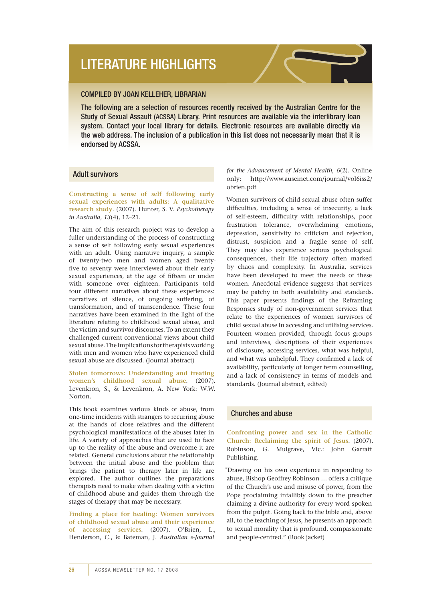## literature highlights

#### Compiled by Joan Kelleher, Librarian

The following are a selection of resources recently received by the Australian Centre for the Study of Sexual Assault (acssa) Library. Print resources are available via the interlibrary loan system. Contact your local library for details. Electronic resources are available directly via the web address. The inclusion of a publication in this list does not necessarily mean that it is endorsed by ACSSA.

#### Adult survivors

**Constructing a sense of self following early sexual experiences with adults: A qualitative research study**. (2007). Hunter, S. V. *Psychotherapy in Australia*, *13*(4), 12–21.

The aim of this research project was to develop a fuller understanding of the process of constructing a sense of self following early sexual experiences with an adult. Using narrative inquiry, a sample of twenty-two men and women aged twentyfive to seventy were interviewed about their early sexual experiences, at the age of fifteen or under with someone over eighteen. Participants told four different narratives about these experiences: narratives of silence, of ongoing suffering, of transformation, and of transcendence. These four narratives have been examined in the light of the literature relating to childhood sexual abuse, and the victim and survivor discourses. To an extent they challenged current conventional views about child sexual abuse. The implications for therapists working with men and women who have experienced child sexual abuse are discussed. (Journal abstract)

**Stolen tomorrows: Understanding and treating women's childhood sexual abuse**. (2007). Levenkron, S., & Levenkron, A. New York: W.W. Norton.

This book examines various kinds of abuse, from one-time incidents with strangers to recurring abuse at the hands of close relatives and the different psychological manifestations of the abuses later in life. A variety of approaches that are used to face up to the reality of the abuse and overcome it are related. General conclusions about the relationship between the initial abuse and the problem that brings the patient to therapy later in life are explored. The author outlines the preparations therapists need to make when dealing with a victim of childhood abuse and guides them through the stages of therapy that may be necessary.

**Finding a place for healing: Women survivors of childhood sexual abuse and their experience of accessing services**. (2007). O'Brien, L., Henderson, C., & Bateman, J. *Australian e-Journal* 

*for the Advancement of Mental Health*, *6*(2). Online only: http://www.auseinet.com/journal/vol6iss2/ obrien.pdf

Women survivors of child sexual abuse often suffer difficulties, including a sense of insecurity, a lack of self-esteem, difficulty with relationships, poor frustration tolerance, overwhelming emotions, depression, sensitivity to criticism and rejection, distrust, suspicion and a fragile sense of self. They may also experience serious psychological consequences, their life trajectory often marked by chaos and complexity. In Australia, services have been developed to meet the needs of these women. Anecdotal evidence suggests that services may be patchy in both availability and standards. This paper presents findings of the Reframing Responses study of non-government services that relate to the experiences of women survivors of child sexual abuse in accessing and utilising services. Fourteen women provided, through focus groups and interviews, descriptions of their experiences of disclosure, accessing services, what was helpful, and what was unhelpful. They confirmed a lack of availability, particularly of longer term counselling, and a lack of consistency in terms of models and standards. (Journal abstract, edited)

#### Churches and abuse

**Confronting power and sex in the Catholic Church: Reclaiming the spirit of Jesus**. (2007). Robinson, G. Mulgrave, Vic.: John Garratt Publishing.

"Drawing on his own experience in responding to abuse, Bishop Geoffrey Robinson … offers a critique of the Church's use and misuse of power, from the Pope proclaiming infallibly down to the preacher claiming a divine authority for every word spoken from the pulpit. Going back to the bible and, above all, to the teaching of Jesus, he presents an approach to sexual morality that is profound, compassionate and people-centred." (Book jacket)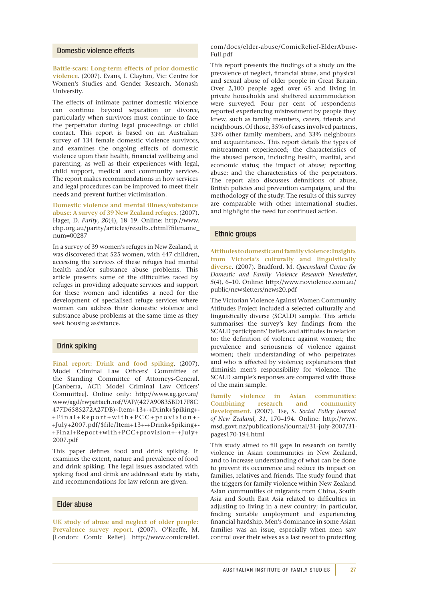#### Domestic violence effects

**Battle-scars: Long-term effects of prior domestic violence**. (2007). Evans, I. Clayton, Vic: Centre for Women's Studies and Gender Research, Monash University.

The effects of intimate partner domestic violence can continue beyond separation or divorce, particularly when survivors must continue to face the perpetrator during legal proceedings or child contact. This report is based on an Australian survey of 134 female domestic violence survivors, and examines the ongoing effects of domestic violence upon their health, financial wellbeing and parenting, as well as their experiences with legal, child support, medical and community services. The report makes recommendations in how services and legal procedures can be improved to meet their needs and prevent further victimisation.

**Domestic violence and mental illness/substance abuse: A survey of 39 New Zealand refuges**. (2007). Hager, D. *Parity*, *20*(4), 18–19. Online: http://www. chp.org.au/parity/articles/results.chtml?filename\_ num=00287

In a survey of 39 women's refuges in New Zealand, it was discovered that 525 women, with 447 children, accessing the services of these refuges had mental health and/or substance abuse problems. This article presents some of the difficulties faced by refuges in providing adequate services and support for these women and identifies a need for the development of specialised refuge services where women can address their domestic violence and substance abuse problems at the same time as they seek housing assistance.

#### Drink spiking

**Final report: Drink and food spiking**. (2007). Model Criminal Law Officers' Committee of the Standing Committee of Attorneys-General. [Canberra, ACT: Model Criminal Law Officers' Committee]. Online only: http://www.ag.gov.au/ www/agd/rwpattach.nsf/VAP/(427A90835BD17F8C 477D6585272A27DB)~Item+13+-+Drink+Spiking+- +Final+Report+with+PCC+provision+- +July+2007.pdf/\$file/Item+13+-+Drink+Spiking+- +Final+Report+with+PCC+provision+-+July+ 2007.pdf

This paper defines food and drink spiking. It examines the extent, nature and prevalence of food and drink spiking. The legal issues associated with spiking food and drink are addressed state by state, and recommendations for law reform are given.

#### Elder abuse

**UK study of abuse and neglect of older people: Prevalence survey report**. (2007). O'Keeffe, M. [London: Comic Relief]. http://www.comicrelief.

com/docs/elder-abuse/ComicRelief-ElderAbuse-Full.pdf

This report presents the findings of a study on the prevalence of neglect, financial abuse, and physical and sexual abuse of older people in Great Britain. Over 2,100 people aged over 65 and living in private households and sheltered accommodation were surveyed. Four per cent of respondents reported experiencing mistreatment by people they knew, such as family members, carers, friends and neighbours. Of those, 35% of cases involved partners, 33% other family members, and 33% neighbours and acquaintances. This report details the types of mistreatment experienced; the characteristics of the abused person, including health, marital, and economic status; the impact of abuse; reporting abuse; and the characteristics of the perpetrators. The report also discusses definitions of abuse, British policies and prevention campaigns, and the methodology of the study. The results of this survey are comparable with other international studies, and highlight the need for continued action.

#### Ethnic groups

**Attitudes to domestic and family violence: Insights from Victoria's culturally and linguistically diverse**. (2007). Bradford, M. *Queensland Centre for Domestic and Family Violence Research Newsletter*, *5*(4), 6–10. Online: http://www.noviolence.com.au/ public/newsletters/news20.pdf

The Victorian Violence Against Women Community Attitudes Project included a selected culturally and linguistically diverse (SCALD) sample. This article summarises the survey's key findings from the SCALD participants' beliefs and attitudes in relation to: the definition of violence against women; the prevalence and seriousness of violence against women; their understanding of who perpetrates and who is affected by violence; explanations that diminish men's responsibility for violence. The SCALD sample's responses are compared with those of the main sample.

**Family violence in Asian communities: Combining research and community development**. (2007). Tse, S. *Social Policy Journal of New Zealand*, *31*, 170–194. Online: http://www. msd.govt.nz/publications/journal/31-july-2007/31 pages170-194.html

This study aimed to fill gaps in research on family violence in Asian communities in New Zealand, and to increase understanding of what can be done to prevent its occurrence and reduce its impact on families, relatives and friends. The study found that the triggers for family violence within New Zealand Asian communities of migrants from China, South Asia and South East Asia related to difficulties in adjusting to living in a new country; in particular, finding suitable employment and experiencing financial hardship. Men's dominance in some Asian families was an issue, especially when men saw control over their wives as a last resort to protecting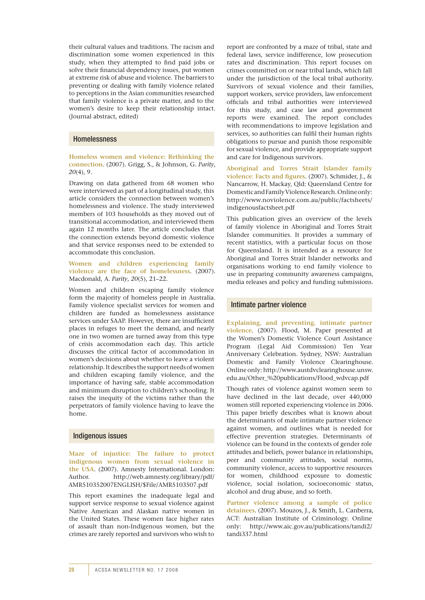their cultural values and traditions. The racism and discrimination some women experienced in this study, when they attempted to find paid jobs or solve their financial dependency issues, put women at extreme risk of abuse and violence. The barriers to preventing or dealing with family violence related to perceptions in the Asian communities researched that family violence is a private matter, and to the women's desire to keep their relationship intact. (Journal abstract, edited)

#### Homelessness

**Homeless women and violence: Rethinking the connection**. (2007). Grigg, S., & Johnson, G. *Parity*, *20*(4), 9.

Drawing on data gathered from 68 women who were interviewed as part of a longitudinal study, this article considers the connection between women's homelessness and violence. The study interviewed members of 103 households as they moved out of transitional accommodation, and interviewed them again 12 months later. The article concludes that the connection extends beyond domestic violence and that service responses need to be extended to accommodate this conclusion.

**Women and children experiencing family violence are the face of homelessness**. (2007). Macdonald, A. *Parity*, *20*(5), 21–22.

Women and children escaping family violence form the majority of homeless people in Australia. Family violence specialist services for women and children are funded as homelessness assistance services under SAAP. However, there are insufficient places in refuges to meet the demand, and nearly one in two women are turned away from this type of crisis accommodation each day. This article discusses the critical factor of accommodation in women's decisions about whether to leave a violent relationship. It describes the support needs of women and children escaping family violence, and the importance of having safe, stable accommodation and minimum disruption to children's schooling. It raises the inequity of the victims rather than the perpetrators of family violence having to leave the home.

#### Indigenous issues

**Maze of injustice: The failure to protect indigenous women from sexual violence in the USA**. (2007). Amnesty International. London: Author. http://web.amnesty.org/library/pdf/ AMR510352007ENGLISH/\$File/AMR5103507.pdf

This report examines the inadequate legal and support service response to sexual violence against Native American and Alaskan native women in the United States. These women face higher rates of assault than non-Indigenous women, but the crimes are rarely reported and survivors who wish to report are confronted by a maze of tribal, state and federal laws, service indifference, low prosecution rates and discrimination. This report focuses on crimes committed on or near tribal lands, which fall under the jurisdiction of the local tribal authority. Survivors of sexual violence and their families, support workers, service providers, law enforcement officials and tribal authorities were interviewed for this study, and case law and government reports were examined. The report concludes with recommendations to improve legislation and services, so authorities can fulfil their human rights obligations to pursue and punish those responsible for sexual violence, and provide appropriate support and care for Indigenous survivors.

**Aboriginal and Torres Strait Islander family violence: Facts and figures**. (2007). Schmider, J., & Nancarrow, H. Mackay, Qld: Queensland Centre for Domestic and Family Violence Research. Online only: http://www.noviolence.com.au/public/factsheets/ indigenousfactsheet.pdf

This publication gives an overview of the levels of family violence in Aboriginal and Torres Strait Islander communities. It provides a summary of recent statistics, with a particular focus on those for Queensland. It is intended as a resource for Aboriginal and Torres Strait Islander networks and organisations working to end family violence to use in preparing community awareness campaigns, media releases and policy and funding submissions.

#### Intimate partner violence

**Explaining, and preventing, intimate partner violence**. (2007). Flood, M. Paper presented at the Women's Domestic Violence Court Assistance Program (Legal Aid Commission) Ten Year Anniversary Celebration. Sydney, NSW: Australian Domestic and Family Violence Clearinghouse. Online only: http://www.austdvclearinghouse.unsw. edu.au/Other\_%20publications/Flood\_wdvcap.pdf

Though rates of violence against women seem to have declined in the last decade, over 440,000 women still reported experiencing violence in 2006. This paper briefly describes what is known about the determinants of male intimate partner violence against women, and outlines what is needed for effective prevention strategies. Determinants of violence can be found in the contexts of gender role attitudes and beliefs, power balance in relationships, peer and community attitudes, social norms, community violence, access to supportive resources for women, childhood exposure to domestic violence, social isolation, socioeconomic status, alcohol and drug abuse, and so forth.

**Partner violence among a sample of police detainees**. (2007). Mouzos, J., & Smith, L. Canberra, ACT: Australian Institute of Criminology. Online only: http://www.aic.gov.au/publications/tandi2/ tandi337.html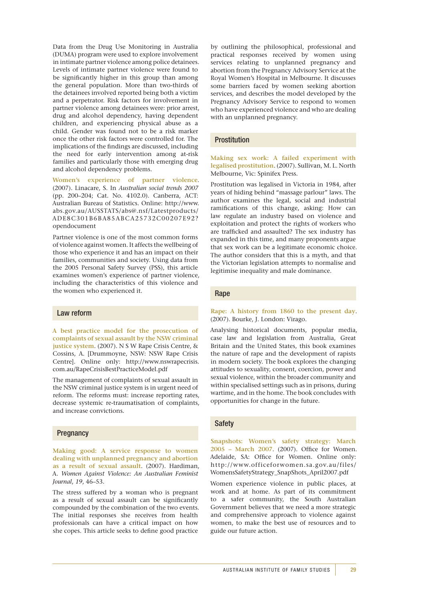Data from the Drug Use Monitoring in Australia (DUMA) program were used to explore involvement in intimate partner violence among police detainees. Levels of intimate partner violence were found to be significantly higher in this group than among the general population. More than two-thirds of the detainees involved reported being both a victim and a perpetrator. Risk factors for involvement in partner violence among detainees were: prior arrest, drug and alcohol dependency, having dependent children, and experiencing physical abuse as a child. Gender was found not to be a risk marker once the other risk factors were controlled for. The implications of the findings are discussed, including the need for early intervention among at-risk families and particularly those with emerging drug and alcohol dependency problems.

**Women's experience of partner violence**. (2007). Linacare, S. In *Australian social trends 2007* (pp. 200–204; Cat. No. 4102.0). Canberra, ACT: Australian Bureau of Statistics. Online: http://www. abs.gov.au/AUSSTATS/abs@.nsf/Latestproducts/ ADE8C301B6BA85ABCA25732C00207E92? opendocument

Partner violence is one of the most common forms of violence against women. It affects the wellbeing of those who experience it and has an impact on their families, communities and society. Using data from the 2005 Personal Safety Survey (PSS), this article examines women's experience of partner violence, including the characteristics of this violence and the women who experienced it.

#### Law reform

**A best practice model for the prosecution of complaints of sexual assault by the NSW criminal justice system**. (2007). N S W Rape Crisis Centre, & Cossins, A. [Drummoyne, NSW: NSW Rape Crisis Centre]. Online only: http://www.nswrapecrisis. com.au/RapeCrisisBestPracticeModel.pdf

The management of complaints of sexual assault in the NSW criminal justice system is in urgent need of reform. The reforms must: increase reporting rates, decrease systemic re-traumatisation of complaints, and increase convictions.

#### **Pregnancy**

**Making good: A service response to women dealing with unplanned pregnancy and abortion as a result of sexual assault**. (2007). Hardiman, A. *Women Against Violence: An Australian Feminist Journal*, *19*, 46–53.

The stress suffered by a woman who is pregnant as a result of sexual assault can be significantly compounded by the combination of the two events. The initial responses she receives from health professionals can have a critical impact on how she copes. This article seeks to define good practice

by outlining the philosophical, professional and practical responses received by women using services relating to unplanned pregnancy and abortion from the Pregnancy Advisory Service at the Royal Women's Hospital in Melbourne. It discusses some barriers faced by women seeking abortion services, and describes the model developed by the Pregnancy Advisory Service to respond to women who have experienced violence and who are dealing with an unplanned pregnancy.

#### Prostitution

**Making sex work: A failed experiment with legalised prostitution**. (2007). Sullivan, M. L. North Melbourne, Vic: Spinifex Press.

Prostitution was legalised in Victoria in 1984, after years of hiding behind "massage parlour" laws. The author examines the legal, social and industrial ramifications of this change, asking: How can law regulate an industry based on violence and exploitation and protect the rights of workers who are trafficked and assaulted? The sex industry has expanded in this time, and many proponents argue that sex work can be a legitimate economic choice. The author considers that this is a myth, and that the Victorian legislation attempts to normalise and legitimise inequality and male dominance.

#### Rape

#### **Rape: A history from 1860 to the present day**. (2007). Bourke, J. London: Virago.

Analysing historical documents, popular media, case law and legislation from Australia, Great Britain and the United States, this book examines the nature of rape and the development of rapists in modern society. The book explores the changing attitudes to sexuality, consent, coercion, power and sexual violence, within the broader community and within specialised settings such as in prisons, during wartime, and in the home. The book concludes with opportunities for change in the future.

#### Safety

**Snapshots: Women's safety strategy: March 2005 – March 2007**. (2007). Office for Women. Adelaide, SA: Office for Women. Online only: http://www.officeforwomen.sa.gov.au/files/ WomensSafetyStrategy\_SnapShots\_April2007.pdf

Women experience violence in public places, at work and at home. As part of its commitment to a safer community, the South Australian Government believes that we need a more strategic and comprehensive approach to violence against women, to make the best use of resources and to guide our future action.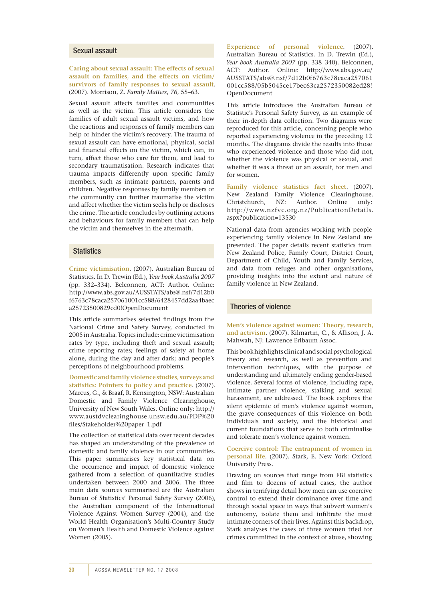#### Sexual assault

**Caring about sexual assault: The effects of sexual assault on families, and the effects on victim/ survivors of family responses to sexual assault**. (2007). Morrison, Z. *Family Matters*, *76*, 55–63.

Sexual assault affects families and communities as well as the victim. This article considers the families of adult sexual assault victims, and how the reactions and responses of family members can help or hinder the victim's recovery. The trauma of sexual assault can have emotional, physical, social and financial effects on the victim, which can, in turn, affect those who care for them, and lead to secondary traumatisation. Research indicates that trauma impacts differently upon specific family members, such as intimate partners, parents and children. Negative responses by family members or the community can further traumatise the victim and affect whether the victim seeks help or discloses the crime. The article concludes by outlining actions and behaviours for family members that can help the victim and themselves in the aftermath.

#### **Statistics**

**Crime victimisation**. (2007). Australian Bureau of Statistics. In D. Trewin (Ed.), *Year book Australia 2007* (pp. 332–334). Belconnen, ACT: Author. Online: http://www.abs.gov.au/AUSSTATS/abs@.nsf/7d12b0 f6763c78caca257061001cc588/6428457dd2aa4baec a25723500829cd0!OpenDocument

This article summarises selected findings from the National Crime and Safety Survey, conducted in 2005 in Australia. Topics include: crime victimisation rates by type, including theft and sexual assault; crime reporting rates; feelings of safety at home alone, during the day and after dark; and people's perceptions of neighbourhood problems.

**Domestic and family violence studies, surveys and statistics: Pointers to policy and practice**. (2007). Marcus, G., & Braaf, R. Kensington, NSW: Australian Domestic and Family Violence Clearinghouse, University of New South Wales. Online only: http:// www.austdvclearinghouse.unsw.edu.au/PDF%20 files/Stakeholder%20paper\_1.pdf

The collection of statistical data over recent decades has shaped an understanding of the prevalence of domestic and family violence in our communities. This paper summarises key statistical data on the occurrence and impact of domestic violence gathered from a selection of quantitative studies undertaken between 2000 and 2006. The three main data sources summarised are the Australian Bureau of Statistics' Personal Safety Survey (2006), the Australian component of the International Violence Against Women Survey (2004), and the World Health Organisation's Multi-Country Study on Women's Health and Domestic Violence against Women (2005).

**Experience of personal violence**. (2007). Australian Bureau of Statistics. In D. Trewin (Ed.), *Year book Australia 2007* (pp. 338–340). Belconnen, ACT: Author. Online: http://www.abs.gov.au/ AUSSTATS/abs@.nsf/7d12b0f6763c78caca257061 001cc588/05b5045ce17bec63ca2572350082ed28! OpenDocument

This article introduces the Australian Bureau of Statistic's Personal Safety Survey, as an example of their in-depth data collection. Two diagrams were reproduced for this article, concerning people who reported experiencing violence in the preceding 12 months. The diagrams divide the results into those who experienced violence and those who did not, whether the violence was physical or sexual, and whether it was a threat or an assault, for men and for women.

**Family violence statistics fact sheet**. (2007). New Zealand Family Violence Clearinghouse. Christchurch, NZ: Author. Online only: http://www.nzfvc.org.nz/PublicationDetails. aspx?publication=13530

National data from agencies working with people experiencing family violence in New Zealand are presented. The paper details recent statistics from New Zealand Police, Family Court, District Court, Department of Child, Youth and Family Services, and data from refuges and other organisations, providing insights into the extent and nature of family violence in New Zealand.

#### Theories of violence

**Men's violence against women: Theory, research, and activism**. (2007). Kilmartin, C., & Allison, J. A. Mahwah, NJ: Lawrence Erlbaum Assoc.

This book highlights clinical and social psychological theory and research, as well as prevention and intervention techniques, with the purpose of understanding and ultimately ending gender-based violence. Several forms of violence, including rape, intimate partner violence, stalking and sexual harassment, are addressed. The book explores the silent epidemic of men's violence against women, the grave consequences of this violence on both individuals and society, and the historical and current foundations that serve to both criminalise and tolerate men's violence against women.

**Coercive control: The entrapment of women in personal life**. (2007). Stark, E. New York: Oxford University Press.

Drawing on sources that range from FBI statistics and film to dozens of actual cases, the author shows in terrifying detail how men can use coercive control to extend their dominance over time and through social space in ways that subvert women's autonomy, isolate them and infiltrate the most intimate corners of their lives. Against this backdrop, Stark analyses the cases of three women tried for crimes committed in the context of abuse, showing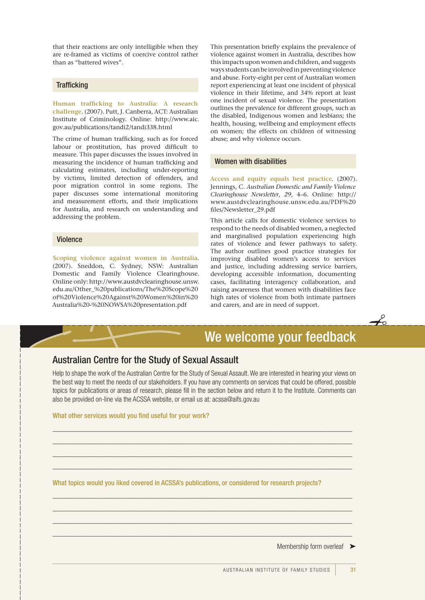that their reactions are only intelligible when they are re-framed as victims of coercive control rather than as "battered wives".

#### **Trafficking**

**Human trafficking to Australia: A research challenge**. (2007). Putt, J. Canberra, ACT: Australian Institute of Criminology. Online: http://www.aic. gov.au/publications/tandi2/tandi338.html

The crime of human trafficking, such as for forced labour or prostitution, has proved difficult to measure. This paper discusses the issues involved in measuring the incidence of human trafficking and calculating estimates, including under-reporting by victims, limited detection of offenders, and poor migration control in some regions. The paper discusses some international monitoring and measurement efforts, and their implications for Australia, and research on understanding and addressing the problem.

#### Violence

**Scoping violence against women in Australia**. (2007). Sneddon, C. Sydney, NSW: Australian Domestic and Family Violence Clearinghouse. Online only: http://www.austdvclearinghouse.unsw. edu.au/Other\_%20publications/The%20Scope%20 of%20Violence%20Against%20Women%20in%20 Australia%20-%20NOWSA%20presentation.pdf

This presentation briefly explains the prevalence of violence against women in Australia, describes how this impacts upon women and children, and suggests ways students can be involved in preventing violence and abuse. Forty-eight per cent of Australian women report experiencing at least one incident of physical violence in their lifetime, and 34% report at least one incident of sexual violence. The presentation outlines the prevalence for different groups, such as the disabled, Indigenous women and lesbians; the health, housing, wellbeing and employment effects on women; the effects on children of witnessing abuse; and why violence occurs.

#### Women with disabilities

**Access and equity equals best practice**. (2007). Jennings, C. *Australian Domestic and Family Violence Clearinghouse Newsletter*, *29*, 4–6. Online: http:// www.austdvclearinghouse.unsw.edu.au/PDF%20 files/Newsletter\_29.pdf

This article calls for domestic violence services to respond to the needs of disabled women, a neglected and marginalised population experiencing high rates of violence and fewer pathways to safety. The author outlines good practice strategies for improving disabled women's access to services and justice, including addressing service barriers, developing accessible information, documenting cases, facilitating interagency collaboration, and raising awareness that women with disabilities face high rates of violence from both intimate partners and carers, and are in need of support.

## We welcome your feedback

 $\overrightarrow{c}$ 

## Australian Centre for the Study of Sexual Assault

Help to shape the work of the Australian Centre for the Study of Sexual Assault. We are interested in hearing your views on the best way to meet the needs of our stakeholders. If you have any comments on services that could be offered, possible topics for publications or areas of research, please fill in the section below and return it to the Institute. Comments can also be provided on-line via the ACSSA website, or email us at: acssa@aifs.gov.au

\_\_\_\_\_\_\_\_\_\_\_\_\_\_\_\_\_\_\_\_\_\_\_\_\_\_\_\_\_\_\_\_\_\_\_\_\_\_\_\_\_\_\_\_\_\_\_\_\_\_\_\_\_\_\_\_\_\_\_\_\_\_\_\_\_\_\_\_\_\_\_\_\_\_\_\_\_\_\_\_\_\_\_\_ \_\_\_\_\_\_\_\_\_\_\_\_\_\_\_\_\_\_\_\_\_\_\_\_\_\_\_\_\_\_\_\_\_\_\_\_\_\_\_\_\_\_\_\_\_\_\_\_\_\_\_\_\_\_\_\_\_\_\_\_\_\_\_\_\_\_\_\_\_\_\_\_\_\_\_\_\_\_\_\_\_\_\_\_ \_\_\_\_\_\_\_\_\_\_\_\_\_\_\_\_\_\_\_\_\_\_\_\_\_\_\_\_\_\_\_\_\_\_\_\_\_\_\_\_\_\_\_\_\_\_\_\_\_\_\_\_\_\_\_\_\_\_\_\_\_\_\_\_\_\_\_\_\_\_\_\_\_\_\_\_\_\_\_\_\_\_\_\_  $\_$  , and the set of the set of the set of the set of the set of the set of the set of the set of the set of the set of the set of the set of the set of the set of the set of the set of the set of the set of the set of th

\_\_\_\_\_\_\_\_\_\_\_\_\_\_\_\_\_\_\_\_\_\_\_\_\_\_\_\_\_\_\_\_\_\_\_\_\_\_\_\_\_\_\_\_\_\_\_\_\_\_\_\_\_\_\_\_\_\_\_\_\_\_\_\_\_\_\_\_\_\_\_\_\_\_\_\_\_\_\_\_\_\_\_\_ \_\_\_\_\_\_\_\_\_\_\_\_\_\_\_\_\_\_\_\_\_\_\_\_\_\_\_\_\_\_\_\_\_\_\_\_\_\_\_\_\_\_\_\_\_\_\_\_\_\_\_\_\_\_\_\_\_\_\_\_\_\_\_\_\_\_\_\_\_\_\_\_\_\_\_\_\_\_\_\_\_\_\_\_ \_\_\_\_\_\_\_\_\_\_\_\_\_\_\_\_\_\_\_\_\_\_\_\_\_\_\_\_\_\_\_\_\_\_\_\_\_\_\_\_\_\_\_\_\_\_\_\_\_\_\_\_\_\_\_\_\_\_\_\_\_\_\_\_\_\_\_\_\_\_\_\_\_\_\_\_\_\_\_\_\_\_\_\_ \_\_\_\_\_\_\_\_\_\_\_\_\_\_\_\_\_\_\_\_\_\_\_\_\_\_\_\_\_\_\_\_\_\_\_\_\_\_\_\_\_\_\_\_\_\_\_\_\_\_\_\_\_\_\_\_\_\_\_\_\_\_\_\_\_\_\_\_\_\_\_\_\_\_\_\_\_\_\_\_\_\_\_\_

What other services would you find useful for your work?

What topics would you liked covered in ACSSA's publications, or considered for research projects?

Membership form overleaf ►